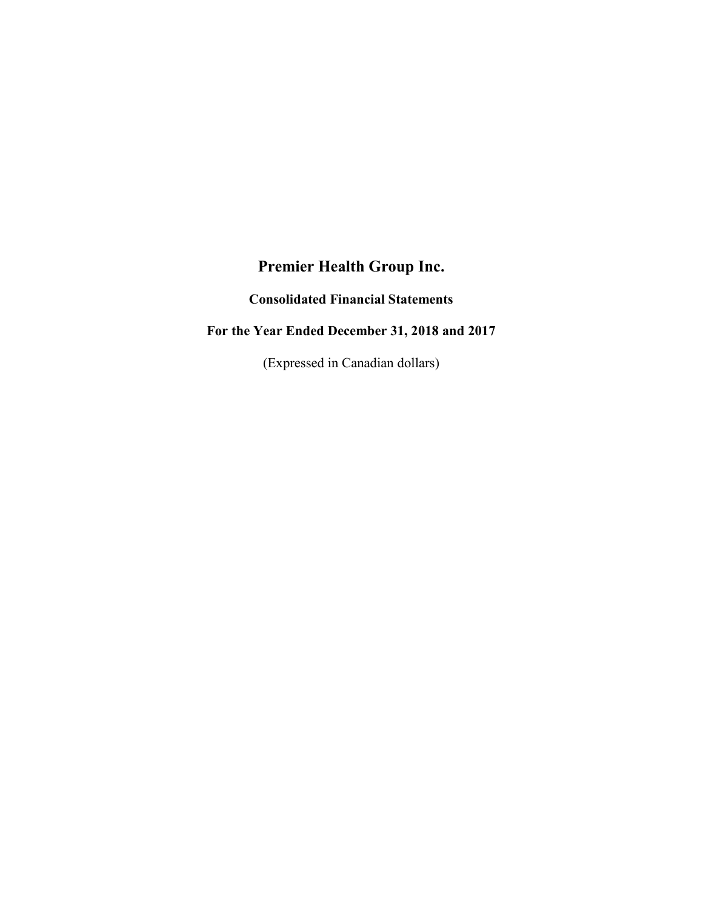# **Premier Health Group Inc.**

**Consolidated Financial Statements**

# **For the Year Ended December 31, 2018 and 2017**

(Expressed in Canadian dollars)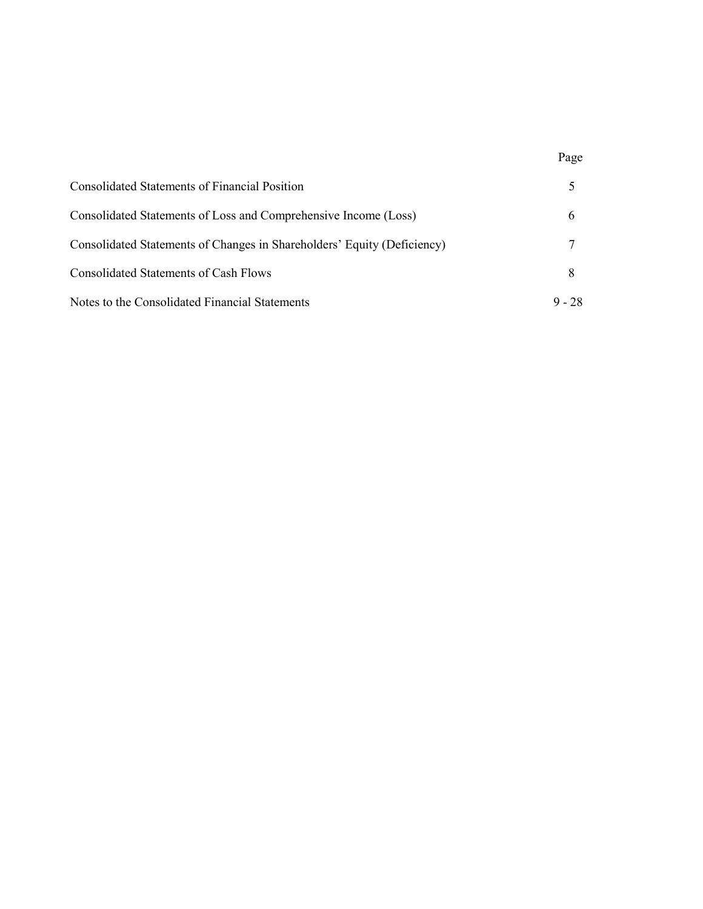| <b>Consolidated Statements of Financial Position</b>                    |          |
|-------------------------------------------------------------------------|----------|
| Consolidated Statements of Loss and Comprehensive Income (Loss)         |          |
| Consolidated Statements of Changes in Shareholders' Equity (Deficiency) |          |
| Consolidated Statements of Cash Flows                                   |          |
| Notes to the Consolidated Financial Statements                          | $9 - 28$ |

# Page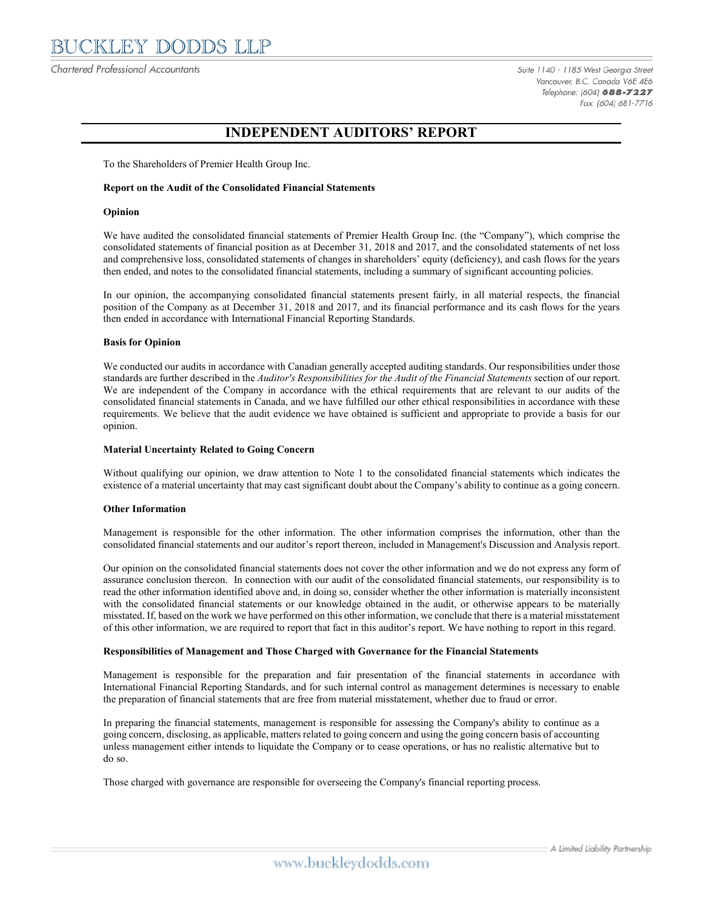Chartered Professional Accountants

Suite 1140 - 1185 West Georgia Street Vancouver, B.C. Canada V6E 4E6 Telephone: (604) 688-7227 Fax: (604) 681-7716

# **INDEPENDENT AUDITORS' REPORT**

To the Shareholders of Premier Health Group Inc.

#### **Report on the Audit of the Consolidated Financial Statements**

#### **Opinion**

We have audited the consolidated financial statements of Premier Health Group Inc. (the "Company"), which comprise the consolidated statements of financial position as at December 31, 2018 and 2017, and the consolidated statements of net loss and comprehensive loss, consolidated statements of changes in shareholders' equity (deficiency), and cash flows for the years then ended, and notes to the consolidated financial statements, including a summary of significant accounting policies.

In our opinion, the accompanying consolidated financial statements present fairly, in all material respects, the financial position of the Company as at December 31, 2018 and 2017, and its financial performance and its cash flows for the years then ended in accordance with International Financial Reporting Standards.

#### **Basis for Opinion**

We conducted our audits in accordance with Canadian generally accepted auditing standards. Our responsibilities under those standards are further described in the *Auditor's Responsibilities for the Audit of the Financial Statements* section of our report. We are independent of the Company in accordance with the ethical requirements that are relevant to our audits of the consolidated financial statements in Canada, and we have fulfilled our other ethical responsibilities in accordance with these requirements. We believe that the audit evidence we have obtained is sufficient and appropriate to provide a basis for our opinion.

#### **Material Uncertainty Related to Going Concern**

Without qualifying our opinion, we draw attention to Note 1 to the consolidated financial statements which indicates the existence of a material uncertainty that may cast significant doubt about the Company's ability to continue as a going concern.

#### **Other Information**

Management is responsible for the other information. The other information comprises the information, other than the consolidated financial statements and our auditor's report thereon, included in Management's Discussion and Analysis report.

Our opinion on the consolidated financial statements does not cover the other information and we do not express any form of assurance conclusion thereon. In connection with our audit of the consolidated financial statements, our responsibility is to read the other information identified above and, in doing so, consider whether the other information is materially inconsistent with the consolidated financial statements or our knowledge obtained in the audit, or otherwise appears to be materially misstated. If, based on the work we have performed on this other information, we conclude that there is a material misstatement of this other information, we are required to report that fact in this auditor's report. We have nothing to report in this regard.

#### **Responsibilities of Management and Those Charged with Governance for the Financial Statements**

Management is responsible for the preparation and fair presentation of the financial statements in accordance with International Financial Reporting Standards, and for such internal control as management determines is necessary to enable the preparation of financial statements that are free from material misstatement, whether due to fraud or error.

In preparing the financial statements, management is responsible for assessing the Company's ability to continue as a going concern, disclosing, as applicable, matters related to going concern and using the going concern basis of accounting unless management either intends to liquidate the Company or to cease operations, or has no realistic alternative but to do so.

Those charged with governance are responsible for overseeing the Company's financial reporting process.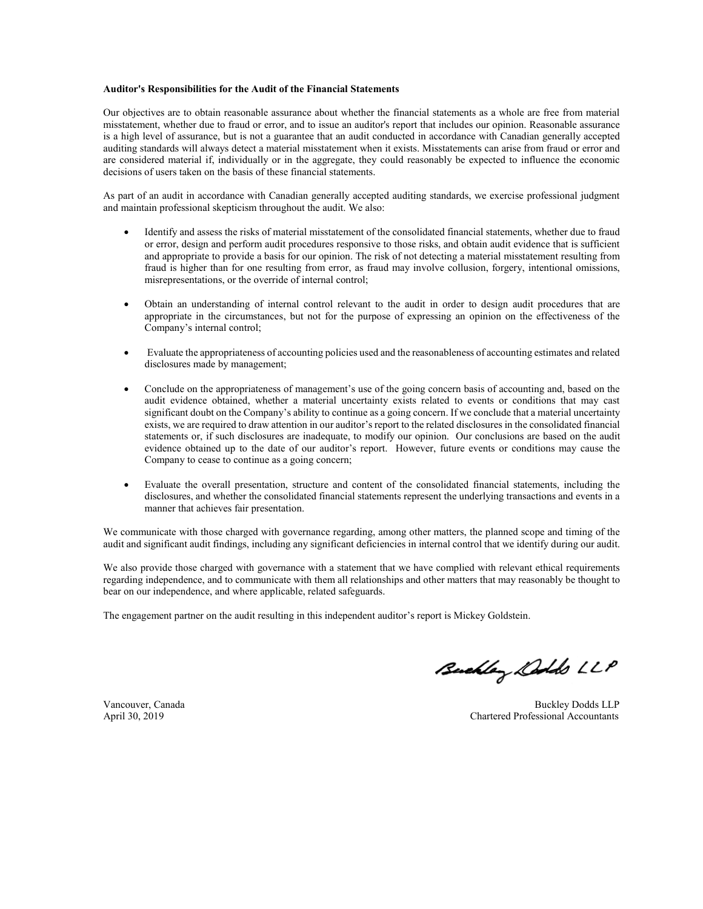#### **Auditor's Responsibilities for the Audit of the Financial Statements**

Our objectives are to obtain reasonable assurance about whether the financial statements as a whole are free from material misstatement, whether due to fraud or error, and to issue an auditor's report that includes our opinion. Reasonable assurance is a high level of assurance, but is not a guarantee that an audit conducted in accordance with Canadian generally accepted auditing standards will always detect a material misstatement when it exists. Misstatements can arise from fraud or error and are considered material if, individually or in the aggregate, they could reasonably be expected to influence the economic decisions of users taken on the basis of these financial statements.

As part of an audit in accordance with Canadian generally accepted auditing standards, we exercise professional judgment and maintain professional skepticism throughout the audit. We also:

- Identify and assess the risks of material misstatement of the consolidated financial statements, whether due to fraud or error, design and perform audit procedures responsive to those risks, and obtain audit evidence that is sufficient and appropriate to provide a basis for our opinion. The risk of not detecting a material misstatement resulting from fraud is higher than for one resulting from error, as fraud may involve collusion, forgery, intentional omissions, misrepresentations, or the override of internal control;
- Obtain an understanding of internal control relevant to the audit in order to design audit procedures that are appropriate in the circumstances, but not for the purpose of expressing an opinion on the effectiveness of the Company's internal control;
- Evaluate the appropriateness of accounting policies used and the reasonableness of accounting estimates and related disclosures made by management;
- Conclude on the appropriateness of management's use of the going concern basis of accounting and, based on the audit evidence obtained, whether a material uncertainty exists related to events or conditions that may cast significant doubt on the Company's ability to continue as a going concern. If we conclude that a material uncertainty exists, we are required to draw attention in our auditor's report to the related disclosures in the consolidated financial statements or, if such disclosures are inadequate, to modify our opinion. Our conclusions are based on the audit evidence obtained up to the date of our auditor's report. However, future events or conditions may cause the Company to cease to continue as a going concern;
- Evaluate the overall presentation, structure and content of the consolidated financial statements, including the disclosures, and whether the consolidated financial statements represent the underlying transactions and events in a manner that achieves fair presentation.

We communicate with those charged with governance regarding, among other matters, the planned scope and timing of the audit and significant audit findings, including any significant deficiencies in internal control that we identify during our audit.

We also provide those charged with governance with a statement that we have complied with relevant ethical requirements regarding independence, and to communicate with them all relationships and other matters that may reasonably be thought to bear on our independence, and where applicable, related safeguards.

The engagement partner on the audit resulting in this independent auditor's report is Mickey Goldstein.

Buchley Dolds LLP

Vancouver, Canada Buckley Dodds LLP<br>
April 30, 2019<br>
Chartered Professional Accountants Chartered Professional Accountants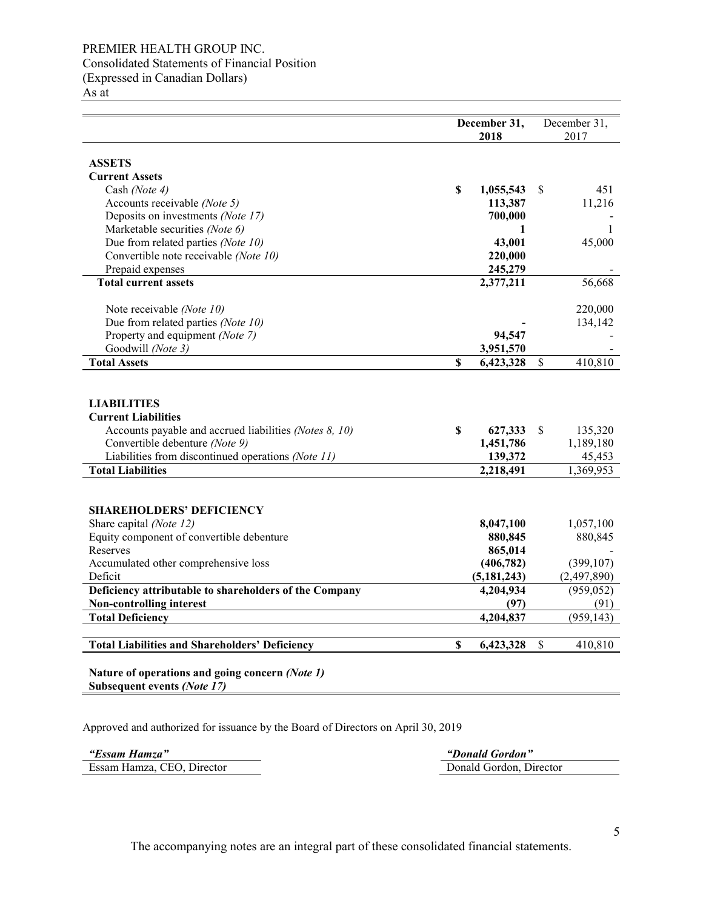### PREMIER HEALTH GROUP INC. Consolidated Statements of Financial Position (Expressed in Canadian Dollars)

As at

|                                                                                                                                                                                                                                |                           | December 31,<br>2018                         |              | December 31,<br>2017                        |
|--------------------------------------------------------------------------------------------------------------------------------------------------------------------------------------------------------------------------------|---------------------------|----------------------------------------------|--------------|---------------------------------------------|
| <b>ASSETS</b>                                                                                                                                                                                                                  |                           |                                              |              |                                             |
| <b>Current Assets</b>                                                                                                                                                                                                          |                           |                                              |              |                                             |
| Cash (Note 4)                                                                                                                                                                                                                  | \$                        | 1,055,543                                    | S            | 451                                         |
| Accounts receivable (Note 5)                                                                                                                                                                                                   |                           | 113,387                                      |              | 11,216                                      |
| Deposits on investments (Note 17)                                                                                                                                                                                              |                           | 700,000                                      |              |                                             |
| Marketable securities (Note 6)                                                                                                                                                                                                 |                           | 1                                            |              | 1                                           |
| Due from related parties (Note 10)                                                                                                                                                                                             |                           | 43,001                                       |              | 45,000                                      |
| Convertible note receivable (Note 10)                                                                                                                                                                                          |                           | 220,000                                      |              |                                             |
| Prepaid expenses                                                                                                                                                                                                               |                           | 245,279                                      |              |                                             |
| <b>Total current assets</b>                                                                                                                                                                                                    |                           | 2,377,211                                    |              | 56,668                                      |
| Note receivable (Note 10)                                                                                                                                                                                                      |                           |                                              |              | 220,000                                     |
| Due from related parties (Note 10)                                                                                                                                                                                             |                           |                                              |              | 134,142                                     |
| Property and equipment (Note 7)                                                                                                                                                                                                |                           | 94,547                                       |              |                                             |
| Goodwill (Note 3)                                                                                                                                                                                                              |                           | 3,951,570                                    |              |                                             |
| <b>Total Assets</b>                                                                                                                                                                                                            | $\boldsymbol{\mathsf{S}}$ | 6,423,328                                    | \$           | 410,810                                     |
| <b>LIABILITIES</b><br><b>Current Liabilities</b><br>Accounts payable and accrued liabilities (Notes 8, 10)<br>Convertible debenture (Note 9)<br>Liabilities from discontinued operations (Note 11)<br><b>Total Liabilities</b> | \$                        | 627,333<br>1,451,786<br>139,372<br>2,218,491 | S            | 135,320<br>1,189,180<br>45,453<br>1,369,953 |
|                                                                                                                                                                                                                                |                           |                                              |              |                                             |
| <b>SHAREHOLDERS' DEFICIENCY</b>                                                                                                                                                                                                |                           |                                              |              |                                             |
| Share capital (Note 12)                                                                                                                                                                                                        |                           | 8,047,100                                    |              | 1,057,100                                   |
| Equity component of convertible debenture                                                                                                                                                                                      |                           | 880,845                                      |              | 880,845                                     |
| Reserves                                                                                                                                                                                                                       |                           | 865,014                                      |              |                                             |
| Accumulated other comprehensive loss                                                                                                                                                                                           |                           | (406, 782)                                   |              | (399, 107)                                  |
| Deficit                                                                                                                                                                                                                        |                           | (5, 181, 243)                                |              | (2,497,890)                                 |
| Deficiency attributable to shareholders of the Company                                                                                                                                                                         |                           | 4,204,934                                    |              | (959, 052)                                  |
| <b>Non-controlling interest</b>                                                                                                                                                                                                |                           | (97)                                         |              | (91)                                        |
| <b>Total Deficiency</b>                                                                                                                                                                                                        |                           | 4,204,837                                    |              | (959, 143)                                  |
| <b>Total Liabilities and Shareholders' Deficiency</b>                                                                                                                                                                          | $\mathbf S$               | 6,423,328                                    | $\mathbb{S}$ | 410,810                                     |
| Nature of operations and going concern (Note 1)<br>Subsequent events (Note 17)                                                                                                                                                 |                           |                                              |              |                                             |

Approved and authorized for issuance by the Board of Directors on April 30, 2019

Essam Hamza, CEO, Director

*"Essam Hamza" "Donald Gordon"*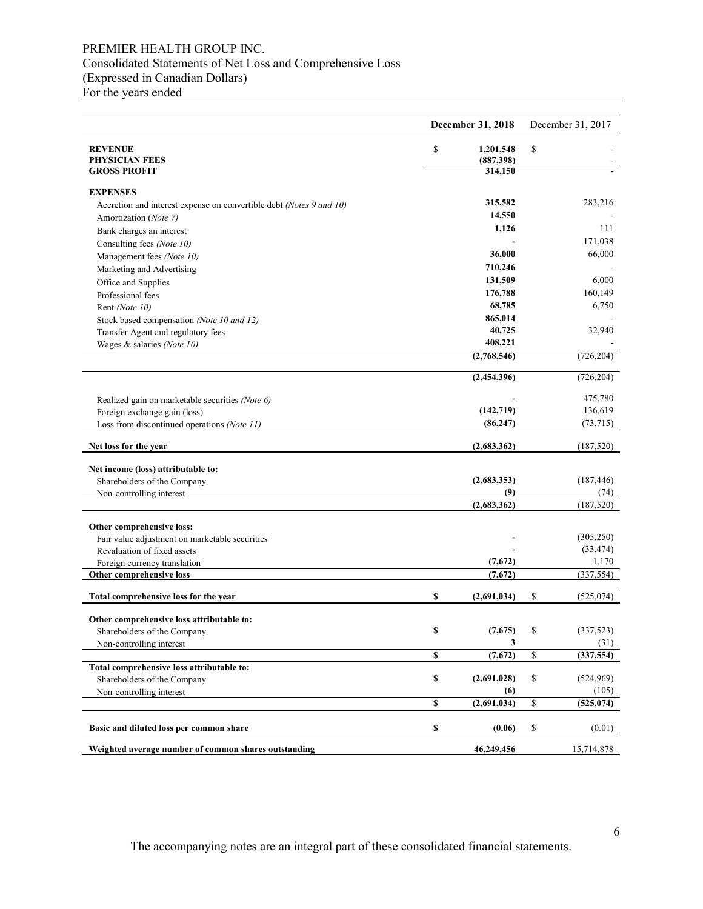### PREMIER HEALTH GROUP INC. Consolidated Statements of Net Loss and Comprehensive Loss (Expressed in Canadian Dollars) For the years ended

|                                                                     |    | December 31, 2018       | December 31, 2017            |
|---------------------------------------------------------------------|----|-------------------------|------------------------------|
| <b>REVENUE</b><br><b>PHYSICIAN FEES</b>                             | \$ | 1,201,548<br>(887,398)  | \$                           |
| <b>GROSS PROFIT</b>                                                 |    | 314,150                 |                              |
| <b>EXPENSES</b>                                                     |    |                         |                              |
| Accretion and interest expense on convertible debt (Notes 9 and 10) |    | 315,582                 | 283,216                      |
| Amortization (Note 7)                                               |    | 14,550                  |                              |
| Bank charges an interest                                            |    | 1,126                   | 111                          |
| Consulting fees (Note 10)                                           |    |                         | 171,038                      |
| Management fees (Note 10)                                           |    | 36,000                  | 66,000                       |
| Marketing and Advertising                                           |    | 710,246                 |                              |
| Office and Supplies                                                 |    | 131,509                 | 6,000                        |
| Professional fees                                                   |    | 176,788                 | 160,149                      |
| Rent (Note 10)                                                      |    | 68,785                  | 6,750                        |
| Stock based compensation (Note 10 and 12)                           |    | 865,014                 |                              |
| Transfer Agent and regulatory fees                                  |    | 40,725                  | 32,940                       |
| Wages & salaries (Note 10)                                          |    | 408,221                 |                              |
|                                                                     |    | (2,768,546)             | (726, 204)                   |
|                                                                     |    | (2,454,396)             | (726, 204)                   |
|                                                                     |    |                         |                              |
| Realized gain on marketable securities (Note 6)                     |    |                         | 475,780                      |
| Foreign exchange gain (loss)                                        |    | (142, 719)<br>(86, 247) | 136,619                      |
| Loss from discontinued operations (Note 11)                         |    |                         | (73, 715)                    |
| Net loss for the year                                               |    | (2,683,362)             | (187, 520)                   |
| Net income (loss) attributable to:                                  |    |                         |                              |
| Shareholders of the Company                                         |    | (2,683,353)             | (187, 446)                   |
| Non-controlling interest                                            |    | (9)                     | (74)                         |
|                                                                     |    | (2,683,362)             | (187, 520)                   |
| Other comprehensive loss:                                           |    |                         |                              |
| Fair value adjustment on marketable securities                      |    |                         | (305, 250)                   |
| Revaluation of fixed assets                                         |    |                         | (33, 474)                    |
| Foreign currency translation                                        |    | (7,672)                 | 1,170                        |
| Other comprehensive loss                                            |    | (7,672)                 | (337, 554)                   |
| Total comprehensive loss for the year                               | S  | (2,691,034)             | \$<br>(525, 074)             |
|                                                                     |    |                         |                              |
| Other comprehensive loss attributable to:                           |    |                         |                              |
| Shareholders of the Company                                         | \$ | (7,675)                 | \$<br>(337, 523)             |
| Non-controlling interest                                            |    | 3                       | (31)                         |
|                                                                     | \$ | (7, 672)                | \$<br>$\overline{(337,554)}$ |
| Total comprehensive loss attributable to:                           |    |                         |                              |
| Shareholders of the Company                                         | \$ | (2,691,028)             | \$<br>(524,969)              |
| Non-controlling interest                                            |    | (6)                     | (105)                        |
|                                                                     | \$ | (2,691,034)             | \$<br>(525, 074)             |
| Basic and diluted loss per common share                             | \$ | (0.06)                  | \$<br>(0.01)                 |
| Weighted average number of common shares outstanding                |    | 46,249,456              | 15,714,878                   |

The accompanying notes are an integral part of these consolidated financial statements.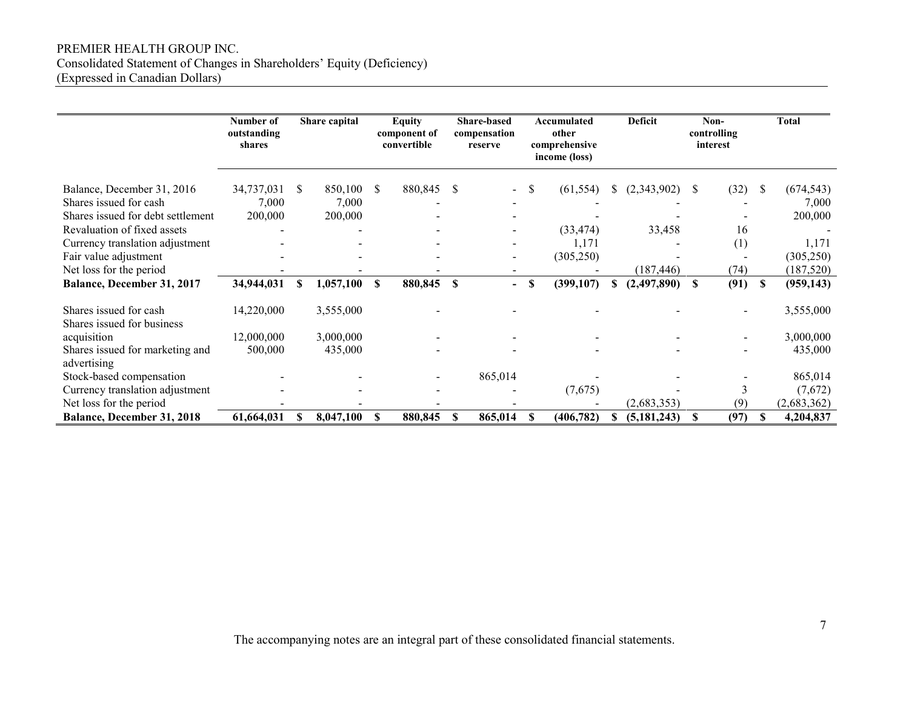### PREMIER HEALTH GROUP INC. Consolidated Statement of Changes in Shareholders' Equity (Deficiency) (Expressed in Canadian Dollars)

|                                                                                                     | Number of<br>outstanding<br>shares | Share capital           |              | Equity<br>component of<br>convertible |              |                          |    |                    |   |               |               |           |          |                         |  | <b>Share-based</b><br>compensation<br>reserve |  |  |  | Accumulated<br>other<br>comprehensive<br>income (loss) |  | <b>Deficit</b> |  | Non-<br>controlling<br>interest |  | <b>Total</b> |
|-----------------------------------------------------------------------------------------------------|------------------------------------|-------------------------|--------------|---------------------------------------|--------------|--------------------------|----|--------------------|---|---------------|---------------|-----------|----------|-------------------------|--|-----------------------------------------------|--|--|--|--------------------------------------------------------|--|----------------|--|---------------------------------|--|--------------|
| Balance, December 31, 2016<br>Shares issued for cash                                                | 34,737,031<br>7,000                | 850,100<br>\$.<br>7,000 | <sup>S</sup> | 880,845                               | -S           |                          | S  | (61, 554)          | S | (2,343,902)   | <sup>\$</sup> | (32)      | -8       | (674, 543)<br>7,000     |  |                                               |  |  |  |                                                        |  |                |  |                                 |  |              |
| Shares issued for debt settlement<br>Revaluation of fixed assets<br>Currency translation adjustment | 200,000                            | 200,000                 |              |                                       |              |                          |    | (33, 474)<br>1,171 |   | 33,458        |               | 16<br>(1) |          | 200,000<br>1,171        |  |                                               |  |  |  |                                                        |  |                |  |                                 |  |              |
| Fair value adjustment<br>Net loss for the period                                                    |                                    |                         |              |                                       |              |                          |    | (305, 250)         |   | (187, 446)    |               | (74)      |          | (305, 250)<br>(187,520) |  |                                               |  |  |  |                                                        |  |                |  |                                 |  |              |
| Balance, December 31, 2017                                                                          | 34,944,031                         | 1,057,100               | S            | 880,845                               | $\mathbf{s}$ | $\overline{\phantom{0}}$ | S  | (399,107)          | S | (2,497,890)   | S             | (91)      | <b>S</b> | (959, 143)              |  |                                               |  |  |  |                                                        |  |                |  |                                 |  |              |
| Shares issued for cash<br>Shares issued for business                                                | 14,220,000                         | 3,555,000               |              |                                       |              |                          |    |                    |   |               |               |           |          | 3,555,000               |  |                                               |  |  |  |                                                        |  |                |  |                                 |  |              |
| acquisition                                                                                         | 12,000,000                         | 3,000,000               |              |                                       |              |                          |    |                    |   |               |               |           |          | 3,000,000               |  |                                               |  |  |  |                                                        |  |                |  |                                 |  |              |
| Shares issued for marketing and<br>advertising                                                      | 500,000                            | 435,000                 |              |                                       |              |                          |    |                    |   |               |               |           |          | 435,000                 |  |                                               |  |  |  |                                                        |  |                |  |                                 |  |              |
| Stock-based compensation                                                                            |                                    |                         |              |                                       |              | 865,014                  |    |                    |   |               |               |           |          | 865,014                 |  |                                               |  |  |  |                                                        |  |                |  |                                 |  |              |
| Currency translation adjustment                                                                     |                                    |                         |              |                                       |              |                          |    | (7,675)            |   |               |               | 3         |          | (7,672)                 |  |                                               |  |  |  |                                                        |  |                |  |                                 |  |              |
| Net loss for the period                                                                             |                                    |                         |              |                                       |              |                          |    |                    |   | (2,683,353)   |               | (9)       |          | (2,683,362)             |  |                                               |  |  |  |                                                        |  |                |  |                                 |  |              |
| <b>Balance, December 31, 2018</b>                                                                   | 61,664,031                         | 8,047,100<br><b>S</b>   | \$           | 880,845                               | <b>S</b>     | 865,014                  | -S | (406, 782)         | S | (5, 181, 243) | <b>S</b>      | (97)      |          | 4,204,837               |  |                                               |  |  |  |                                                        |  |                |  |                                 |  |              |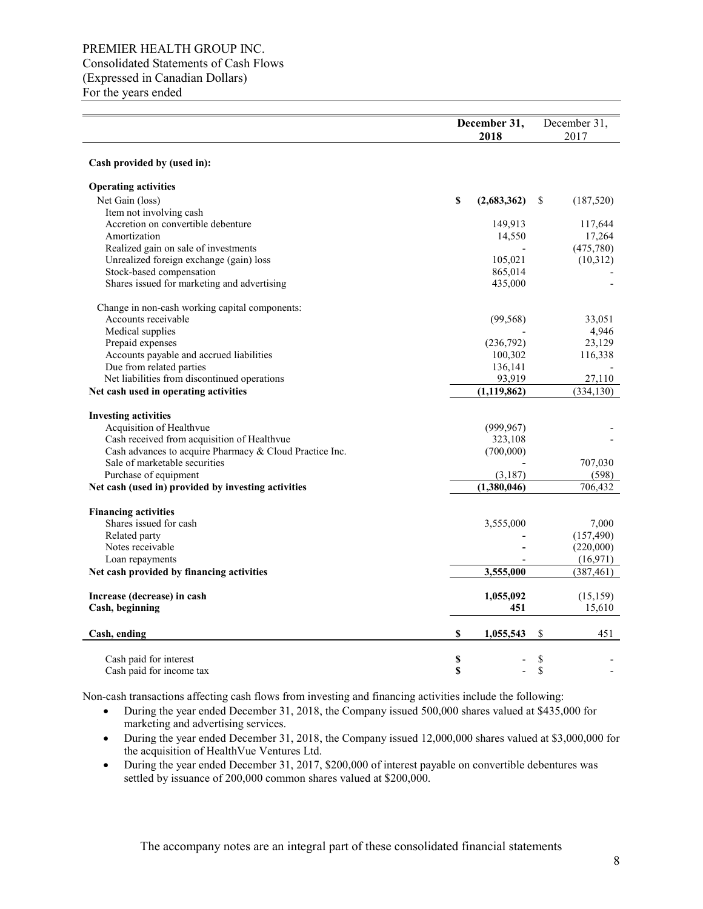### PREMIER HEALTH GROUP INC. Consolidated Statements of Cash Flows (Expressed in Canadian Dollars) For the years ended

|                                                         | December 31,<br>2018 |               |    | December 31,<br>2017 |
|---------------------------------------------------------|----------------------|---------------|----|----------------------|
| Cash provided by (used in):                             |                      |               |    |                      |
| <b>Operating activities</b>                             |                      |               |    |                      |
| Net Gain (loss)                                         | \$                   | (2,683,362)   | S  | (187,520)            |
| Item not involving cash                                 |                      |               |    |                      |
| Accretion on convertible debenture                      |                      | 149,913       |    | 117,644              |
| Amortization                                            |                      | 14,550        |    | 17,264               |
| Realized gain on sale of investments                    |                      |               |    | (475,780)            |
| Unrealized foreign exchange (gain) loss                 |                      | 105,021       |    | (10,312)             |
| Stock-based compensation                                |                      | 865,014       |    |                      |
| Shares issued for marketing and advertising             |                      | 435,000       |    |                      |
| Change in non-cash working capital components:          |                      |               |    |                      |
| Accounts receivable                                     |                      | (99, 568)     |    | 33,051               |
| Medical supplies                                        |                      |               |    | 4,946                |
| Prepaid expenses                                        |                      | (236,792)     |    | 23,129               |
| Accounts payable and accrued liabilities                |                      | 100,302       |    | 116,338              |
| Due from related parties                                |                      | 136,141       |    |                      |
| Net liabilities from discontinued operations            |                      | 93,919        |    | 27,110               |
| Net cash used in operating activities                   |                      | (1, 119, 862) |    | (334, 130)           |
| <b>Investing activities</b>                             |                      |               |    |                      |
| Acquisition of Healthvue                                |                      | (999, 967)    |    |                      |
| Cash received from acquisition of Healthvue             |                      | 323,108       |    |                      |
| Cash advances to acquire Pharmacy & Cloud Practice Inc. |                      | (700,000)     |    |                      |
| Sale of marketable securities                           |                      |               |    | 707,030              |
| Purchase of equipment                                   |                      | (3,187)       |    | (598)                |
| Net cash (used in) provided by investing activities     |                      | (1,380,046)   |    | 706,432              |
| <b>Financing activities</b>                             |                      |               |    |                      |
| Shares issued for cash                                  |                      | 3,555,000     |    | 7,000                |
| Related party                                           |                      |               |    | (157, 490)           |
| Notes receivable                                        |                      |               |    | (220,000)            |
| Loan repayments                                         |                      |               |    | (16,971)             |
| Net cash provided by financing activities               |                      | 3,555,000     |    | (387, 461)           |
| Increase (decrease) in cash                             |                      | 1,055,092     |    | (15, 159)            |
| Cash, beginning                                         |                      | 451           |    | 15,610               |
| Cash, ending                                            | \$                   | 1,055,543     | \$ | 451                  |
| Cash paid for interest                                  | \$                   |               | \$ |                      |
| Cash paid for income tax                                | \$                   |               | \$ |                      |

Non-cash transactions affecting cash flows from investing and financing activities include the following:

- During the year ended December 31, 2018, the Company issued 500,000 shares valued at \$435,000 for marketing and advertising services.
- During the year ended December 31, 2018, the Company issued 12,000,000 shares valued at \$3,000,000 for the acquisition of HealthVue Ventures Ltd.
- During the year ended December 31, 2017, \$200,000 of interest payable on convertible debentures was settled by issuance of 200,000 common shares valued at \$200,000.

The accompany notes are an integral part of these consolidated financial statements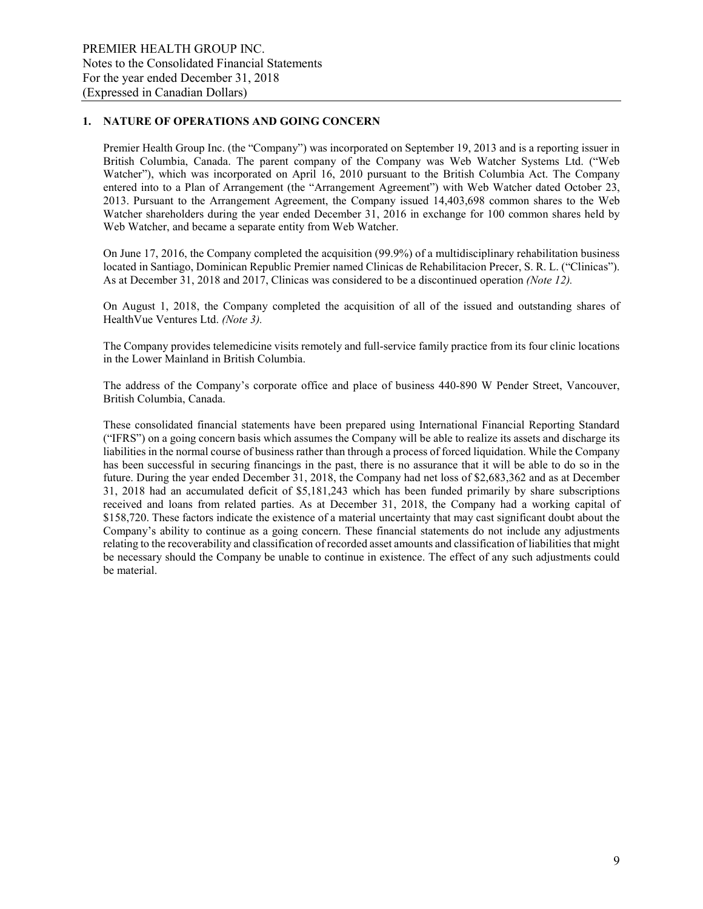### **1. NATURE OF OPERATIONS AND GOING CONCERN**

Premier Health Group Inc. (the "Company") was incorporated on September 19, 2013 and is a reporting issuer in British Columbia, Canada. The parent company of the Company was Web Watcher Systems Ltd. ("Web Watcher"), which was incorporated on April 16, 2010 pursuant to the British Columbia Act. The Company entered into to a Plan of Arrangement (the "Arrangement Agreement") with Web Watcher dated October 23, 2013. Pursuant to the Arrangement Agreement, the Company issued 14,403,698 common shares to the Web Watcher shareholders during the year ended December 31, 2016 in exchange for 100 common shares held by Web Watcher, and became a separate entity from Web Watcher.

On June 17, 2016, the Company completed the acquisition (99.9%) of a multidisciplinary rehabilitation business located in Santiago, Dominican Republic Premier named Clinicas de Rehabilitacion Precer, S. R. L. ("Clinicas"). As at December 31, 2018 and 2017, Clinicas was considered to be a discontinued operation *(Note 12).*

On August 1, 2018, the Company completed the acquisition of all of the issued and outstanding shares of HealthVue Ventures Ltd. *(Note 3).*

The Company provides telemedicine visits remotely and full-service family practice from its four clinic locations in the Lower Mainland in British Columbia.

The address of the Company's corporate office and place of business 440-890 W Pender Street, Vancouver, British Columbia, Canada.

These consolidated financial statements have been prepared using International Financial Reporting Standard ("IFRS") on a going concern basis which assumes the Company will be able to realize its assets and discharge its liabilities in the normal course of business rather than through a process of forced liquidation. While the Company has been successful in securing financings in the past, there is no assurance that it will be able to do so in the future. During the year ended December 31, 2018, the Company had net loss of \$2,683,362 and as at December 31, 2018 had an accumulated deficit of \$5,181,243 which has been funded primarily by share subscriptions received and loans from related parties. As at December 31, 2018, the Company had a working capital of \$158,720. These factors indicate the existence of a material uncertainty that may cast significant doubt about the Company's ability to continue as a going concern. These financial statements do not include any adjustments relating to the recoverability and classification of recorded asset amounts and classification of liabilities that might be necessary should the Company be unable to continue in existence. The effect of any such adjustments could be material.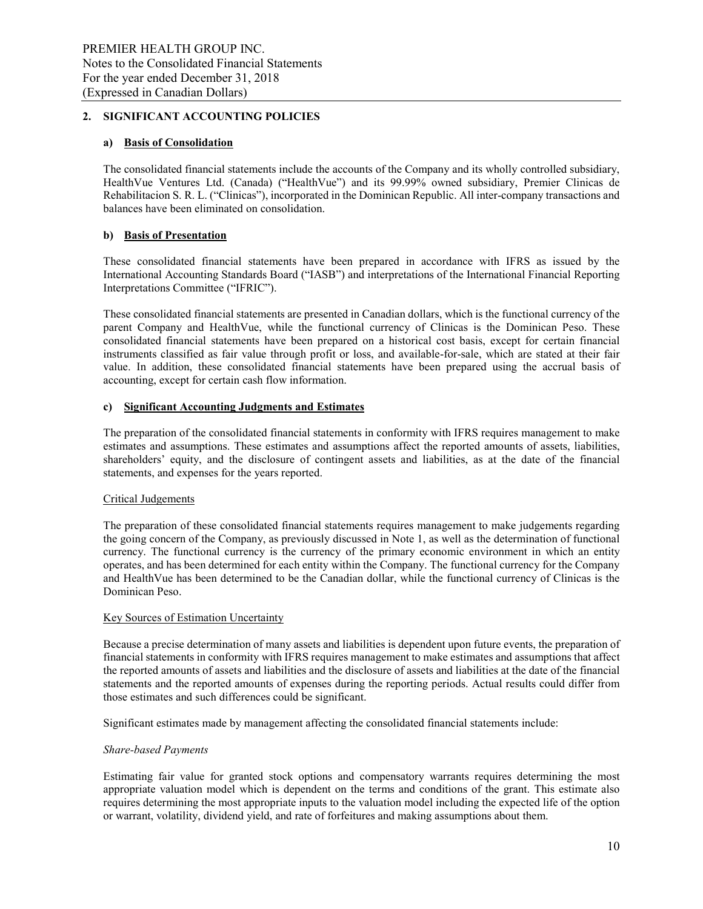### **2. SIGNIFICANT ACCOUNTING POLICIES**

### **a) Basis of Consolidation**

The consolidated financial statements include the accounts of the Company and its wholly controlled subsidiary, HealthVue Ventures Ltd. (Canada) ("HealthVue") and its 99.99% owned subsidiary, Premier Clinicas de Rehabilitacion S. R. L. ("Clinicas"), incorporated in the Dominican Republic. All inter-company transactions and balances have been eliminated on consolidation.

### **b) Basis of Presentation**

These consolidated financial statements have been prepared in accordance with IFRS as issued by the International Accounting Standards Board ("IASB") and interpretations of the International Financial Reporting Interpretations Committee ("IFRIC").

These consolidated financial statements are presented in Canadian dollars, which is the functional currency of the parent Company and HealthVue, while the functional currency of Clinicas is the Dominican Peso. These consolidated financial statements have been prepared on a historical cost basis, except for certain financial instruments classified as fair value through profit or loss, and available-for-sale, which are stated at their fair value. In addition, these consolidated financial statements have been prepared using the accrual basis of accounting, except for certain cash flow information.

### **c) Significant Accounting Judgments and Estimates**

The preparation of the consolidated financial statements in conformity with IFRS requires management to make estimates and assumptions. These estimates and assumptions affect the reported amounts of assets, liabilities, shareholders' equity, and the disclosure of contingent assets and liabilities, as at the date of the financial statements, and expenses for the years reported.

### Critical Judgements

The preparation of these consolidated financial statements requires management to make judgements regarding the going concern of the Company, as previously discussed in Note 1, as well as the determination of functional currency. The functional currency is the currency of the primary economic environment in which an entity operates, and has been determined for each entity within the Company. The functional currency for the Company and HealthVue has been determined to be the Canadian dollar, while the functional currency of Clinicas is the Dominican Peso.

### Key Sources of Estimation Uncertainty

Because a precise determination of many assets and liabilities is dependent upon future events, the preparation of financial statements in conformity with IFRS requires management to make estimates and assumptions that affect the reported amounts of assets and liabilities and the disclosure of assets and liabilities at the date of the financial statements and the reported amounts of expenses during the reporting periods. Actual results could differ from those estimates and such differences could be significant.

Significant estimates made by management affecting the consolidated financial statements include:

### *Share-based Payments*

Estimating fair value for granted stock options and compensatory warrants requires determining the most appropriate valuation model which is dependent on the terms and conditions of the grant. This estimate also requires determining the most appropriate inputs to the valuation model including the expected life of the option or warrant, volatility, dividend yield, and rate of forfeitures and making assumptions about them.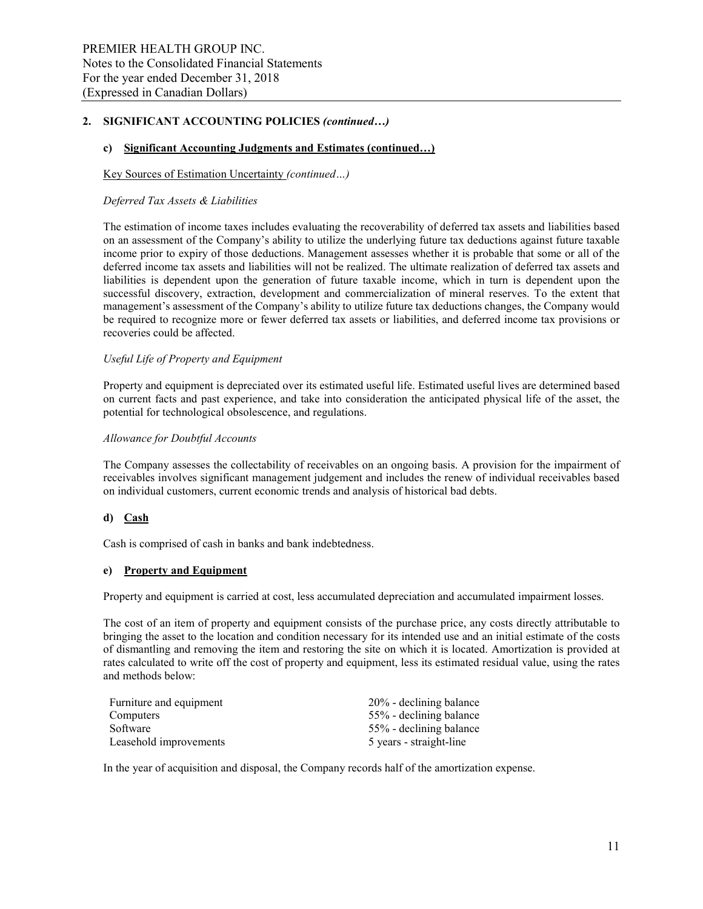#### **c) Significant Accounting Judgments and Estimates (continued…)**

#### Key Sources of Estimation Uncertainty *(continued…)*

#### *Deferred Tax Assets & Liabilities*

The estimation of income taxes includes evaluating the recoverability of deferred tax assets and liabilities based on an assessment of the Company's ability to utilize the underlying future tax deductions against future taxable income prior to expiry of those deductions. Management assesses whether it is probable that some or all of the deferred income tax assets and liabilities will not be realized. The ultimate realization of deferred tax assets and liabilities is dependent upon the generation of future taxable income, which in turn is dependent upon the successful discovery, extraction, development and commercialization of mineral reserves. To the extent that management's assessment of the Company's ability to utilize future tax deductions changes, the Company would be required to recognize more or fewer deferred tax assets or liabilities, and deferred income tax provisions or recoveries could be affected.

#### *Useful Life of Property and Equipment*

Property and equipment is depreciated over its estimated useful life. Estimated useful lives are determined based on current facts and past experience, and take into consideration the anticipated physical life of the asset, the potential for technological obsolescence, and regulations.

#### *Allowance for Doubtful Accounts*

The Company assesses the collectability of receivables on an ongoing basis. A provision for the impairment of receivables involves significant management judgement and includes the renew of individual receivables based on individual customers, current economic trends and analysis of historical bad debts.

### **d) Cash**

Cash is comprised of cash in banks and bank indebtedness.

#### **e) Property and Equipment**

Property and equipment is carried at cost, less accumulated depreciation and accumulated impairment losses.

The cost of an item of property and equipment consists of the purchase price, any costs directly attributable to bringing the asset to the location and condition necessary for its intended use and an initial estimate of the costs of dismantling and removing the item and restoring the site on which it is located. Amortization is provided at rates calculated to write off the cost of property and equipment, less its estimated residual value, using the rates and methods below:

| Furniture and equipment | 20% - declining balance |
|-------------------------|-------------------------|
| Computers               | 55% - declining balance |
| Software                | 55% - declining balance |
| Leasehold improvements  | 5 years - straight-line |

In the year of acquisition and disposal, the Company records half of the amortization expense.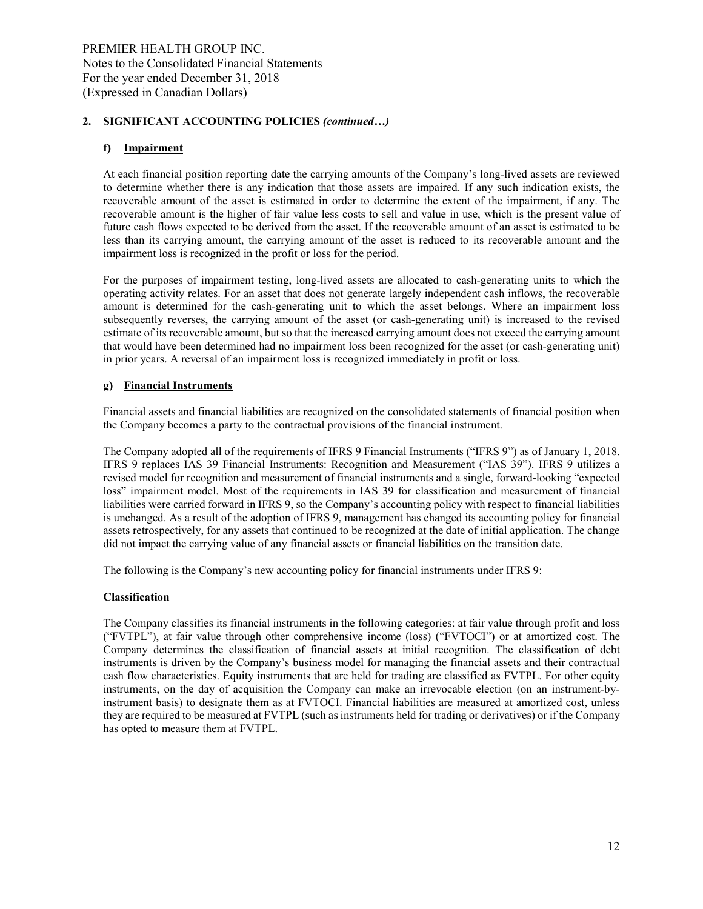### **f) Impairment**

At each financial position reporting date the carrying amounts of the Company's long-lived assets are reviewed to determine whether there is any indication that those assets are impaired. If any such indication exists, the recoverable amount of the asset is estimated in order to determine the extent of the impairment, if any. The recoverable amount is the higher of fair value less costs to sell and value in use, which is the present value of future cash flows expected to be derived from the asset. If the recoverable amount of an asset is estimated to be less than its carrying amount, the carrying amount of the asset is reduced to its recoverable amount and the impairment loss is recognized in the profit or loss for the period.

For the purposes of impairment testing, long-lived assets are allocated to cash-generating units to which the operating activity relates. For an asset that does not generate largely independent cash inflows, the recoverable amount is determined for the cash-generating unit to which the asset belongs. Where an impairment loss subsequently reverses, the carrying amount of the asset (or cash-generating unit) is increased to the revised estimate of its recoverable amount, but so that the increased carrying amount does not exceed the carrying amount that would have been determined had no impairment loss been recognized for the asset (or cash-generating unit) in prior years. A reversal of an impairment loss is recognized immediately in profit or loss.

### **g) Financial Instruments**

Financial assets and financial liabilities are recognized on the consolidated statements of financial position when the Company becomes a party to the contractual provisions of the financial instrument.

The Company adopted all of the requirements of IFRS 9 Financial Instruments ("IFRS 9") as of January 1, 2018. IFRS 9 replaces IAS 39 Financial Instruments: Recognition and Measurement ("IAS 39"). IFRS 9 utilizes a revised model for recognition and measurement of financial instruments and a single, forward-looking "expected loss" impairment model. Most of the requirements in IAS 39 for classification and measurement of financial liabilities were carried forward in IFRS 9, so the Company's accounting policy with respect to financial liabilities is unchanged. As a result of the adoption of IFRS 9, management has changed its accounting policy for financial assets retrospectively, for any assets that continued to be recognized at the date of initial application. The change did not impact the carrying value of any financial assets or financial liabilities on the transition date.

The following is the Company's new accounting policy for financial instruments under IFRS 9:

### **Classification**

The Company classifies its financial instruments in the following categories: at fair value through profit and loss ("FVTPL"), at fair value through other comprehensive income (loss) ("FVTOCI") or at amortized cost. The Company determines the classification of financial assets at initial recognition. The classification of debt instruments is driven by the Company's business model for managing the financial assets and their contractual cash flow characteristics. Equity instruments that are held for trading are classified as FVTPL. For other equity instruments, on the day of acquisition the Company can make an irrevocable election (on an instrument-byinstrument basis) to designate them as at FVTOCI. Financial liabilities are measured at amortized cost, unless they are required to be measured at FVTPL (such as instruments held for trading or derivatives) or if the Company has opted to measure them at FVTPL.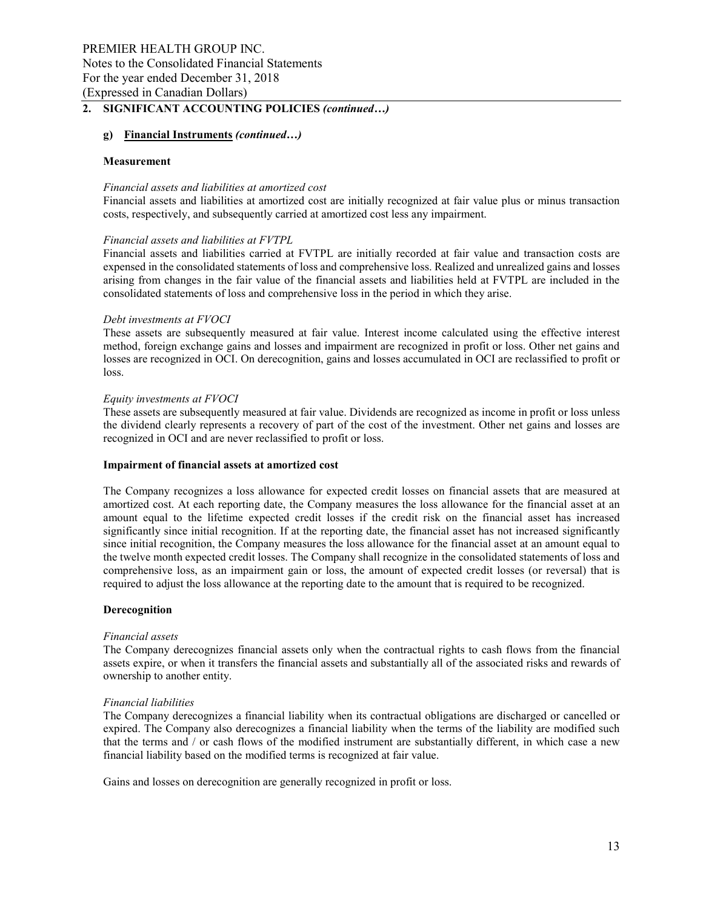### **g) Financial Instruments** *(continued…)*

#### **Measurement**

#### *Financial assets and liabilities at amortized cost*

Financial assets and liabilities at amortized cost are initially recognized at fair value plus or minus transaction costs, respectively, and subsequently carried at amortized cost less any impairment.

#### *Financial assets and liabilities at FVTPL*

Financial assets and liabilities carried at FVTPL are initially recorded at fair value and transaction costs are expensed in the consolidated statements of loss and comprehensive loss. Realized and unrealized gains and losses arising from changes in the fair value of the financial assets and liabilities held at FVTPL are included in the consolidated statements of loss and comprehensive loss in the period in which they arise.

#### *Debt investments at FVOCI*

These assets are subsequently measured at fair value. Interest income calculated using the effective interest method, foreign exchange gains and losses and impairment are recognized in profit or loss. Other net gains and losses are recognized in OCI. On derecognition, gains and losses accumulated in OCI are reclassified to profit or loss.

#### *Equity investments at FVOCI*

These assets are subsequently measured at fair value. Dividends are recognized as income in profit or loss unless the dividend clearly represents a recovery of part of the cost of the investment. Other net gains and losses are recognized in OCI and are never reclassified to profit or loss.

#### **Impairment of financial assets at amortized cost**

The Company recognizes a loss allowance for expected credit losses on financial assets that are measured at amortized cost. At each reporting date, the Company measures the loss allowance for the financial asset at an amount equal to the lifetime expected credit losses if the credit risk on the financial asset has increased significantly since initial recognition. If at the reporting date, the financial asset has not increased significantly since initial recognition, the Company measures the loss allowance for the financial asset at an amount equal to the twelve month expected credit losses. The Company shall recognize in the consolidated statements of loss and comprehensive loss, as an impairment gain or loss, the amount of expected credit losses (or reversal) that is required to adjust the loss allowance at the reporting date to the amount that is required to be recognized.

#### **Derecognition**

#### *Financial assets*

The Company derecognizes financial assets only when the contractual rights to cash flows from the financial assets expire, or when it transfers the financial assets and substantially all of the associated risks and rewards of ownership to another entity.

#### *Financial liabilities*

The Company derecognizes a financial liability when its contractual obligations are discharged or cancelled or expired. The Company also derecognizes a financial liability when the terms of the liability are modified such that the terms and / or cash flows of the modified instrument are substantially different, in which case a new financial liability based on the modified terms is recognized at fair value.

Gains and losses on derecognition are generally recognized in profit or loss.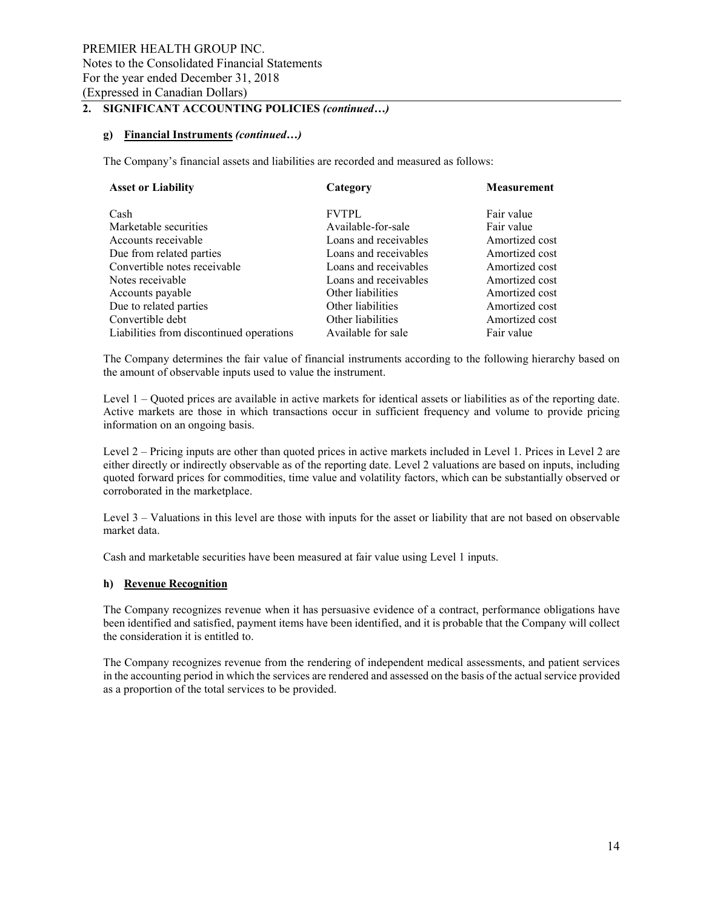### **g) Financial Instruments** *(continued…)*

The Company's financial assets and liabilities are recorded and measured as follows:

| <b>Asset or Liability</b>                | Category              | <b>Measurement</b> |
|------------------------------------------|-----------------------|--------------------|
| Cash                                     | <b>FVTPL</b>          | Fair value         |
| Marketable securities                    | Available-for-sale    | Fair value         |
| Accounts receivable                      | Loans and receivables | Amortized cost     |
| Due from related parties                 | Loans and receivables | Amortized cost     |
| Convertible notes receivable             | Loans and receivables | Amortized cost     |
| Notes receivable                         | Loans and receivables | Amortized cost     |
| Accounts payable                         | Other liabilities     | Amortized cost     |
| Due to related parties                   | Other liabilities     | Amortized cost     |
| Convertible debt                         | Other liabilities     | Amortized cost     |
| Liabilities from discontinued operations | Available for sale    | Fair value         |

The Company determines the fair value of financial instruments according to the following hierarchy based on the amount of observable inputs used to value the instrument.

Level 1 – Quoted prices are available in active markets for identical assets or liabilities as of the reporting date. Active markets are those in which transactions occur in sufficient frequency and volume to provide pricing information on an ongoing basis.

Level 2 – Pricing inputs are other than quoted prices in active markets included in Level 1. Prices in Level 2 are either directly or indirectly observable as of the reporting date. Level 2 valuations are based on inputs, including quoted forward prices for commodities, time value and volatility factors, which can be substantially observed or corroborated in the marketplace.

Level 3 – Valuations in this level are those with inputs for the asset or liability that are not based on observable market data.

Cash and marketable securities have been measured at fair value using Level 1 inputs.

### **h) Revenue Recognition**

The Company recognizes revenue when it has persuasive evidence of a contract, performance obligations have been identified and satisfied, payment items have been identified, and it is probable that the Company will collect the consideration it is entitled to.

The Company recognizes revenue from the rendering of independent medical assessments, and patient services in the accounting period in which the services are rendered and assessed on the basis of the actual service provided as a proportion of the total services to be provided.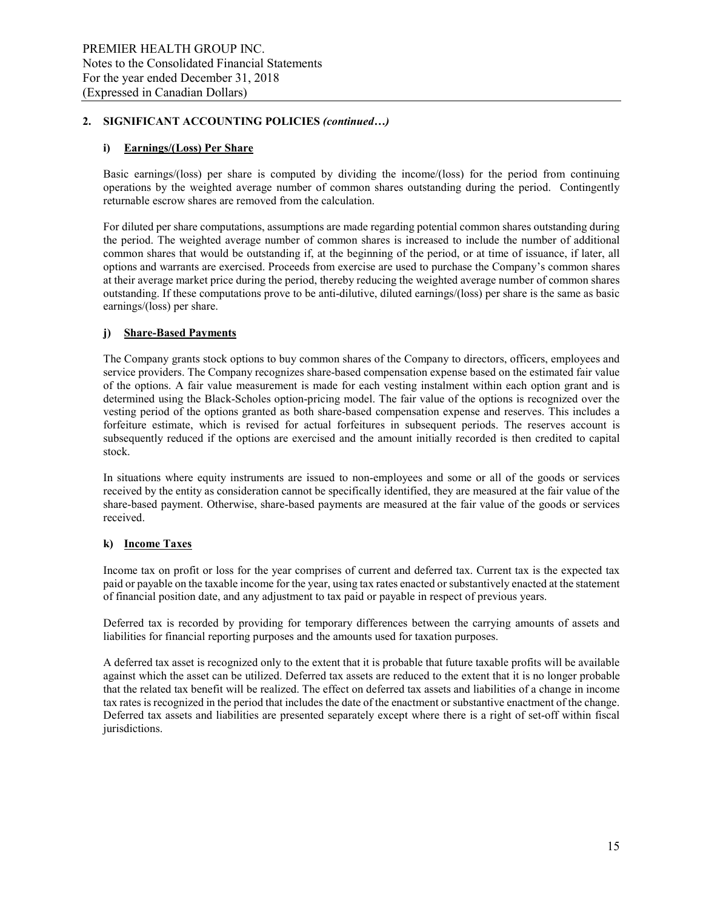### **i) Earnings/(Loss) Per Share**

Basic earnings/(loss) per share is computed by dividing the income/(loss) for the period from continuing operations by the weighted average number of common shares outstanding during the period. Contingently returnable escrow shares are removed from the calculation.

For diluted per share computations, assumptions are made regarding potential common shares outstanding during the period. The weighted average number of common shares is increased to include the number of additional common shares that would be outstanding if, at the beginning of the period, or at time of issuance, if later, all options and warrants are exercised. Proceeds from exercise are used to purchase the Company's common shares at their average market price during the period, thereby reducing the weighted average number of common shares outstanding. If these computations prove to be anti-dilutive, diluted earnings/(loss) per share is the same as basic earnings/(loss) per share.

### **j) Share-Based Payments**

The Company grants stock options to buy common shares of the Company to directors, officers, employees and service providers. The Company recognizes share-based compensation expense based on the estimated fair value of the options. A fair value measurement is made for each vesting instalment within each option grant and is determined using the Black-Scholes option-pricing model. The fair value of the options is recognized over the vesting period of the options granted as both share-based compensation expense and reserves. This includes a forfeiture estimate, which is revised for actual forfeitures in subsequent periods. The reserves account is subsequently reduced if the options are exercised and the amount initially recorded is then credited to capital stock.

In situations where equity instruments are issued to non-employees and some or all of the goods or services received by the entity as consideration cannot be specifically identified, they are measured at the fair value of the share-based payment. Otherwise, share-based payments are measured at the fair value of the goods or services received.

### **k) Income Taxes**

Income tax on profit or loss for the year comprises of current and deferred tax. Current tax is the expected tax paid or payable on the taxable income for the year, using tax rates enacted or substantively enacted at the statement of financial position date, and any adjustment to tax paid or payable in respect of previous years.

Deferred tax is recorded by providing for temporary differences between the carrying amounts of assets and liabilities for financial reporting purposes and the amounts used for taxation purposes.

A deferred tax asset is recognized only to the extent that it is probable that future taxable profits will be available against which the asset can be utilized. Deferred tax assets are reduced to the extent that it is no longer probable that the related tax benefit will be realized. The effect on deferred tax assets and liabilities of a change in income tax rates is recognized in the period that includes the date of the enactment or substantive enactment of the change. Deferred tax assets and liabilities are presented separately except where there is a right of set-off within fiscal jurisdictions.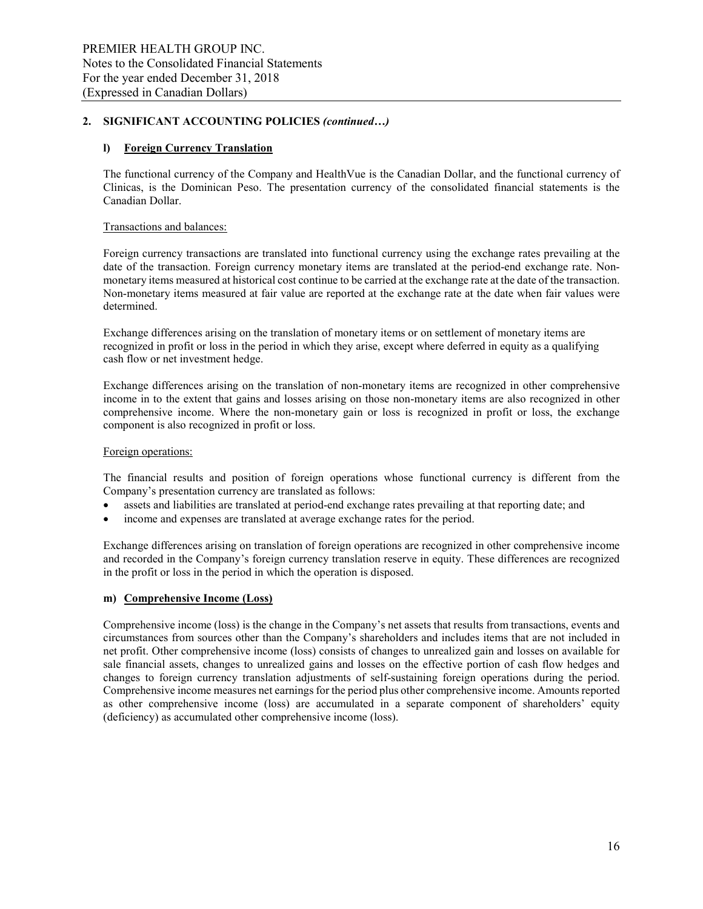### **l) Foreign Currency Translation**

The functional currency of the Company and HealthVue is the Canadian Dollar, and the functional currency of Clinicas, is the Dominican Peso. The presentation currency of the consolidated financial statements is the Canadian Dollar.

### Transactions and balances:

Foreign currency transactions are translated into functional currency using the exchange rates prevailing at the date of the transaction. Foreign currency monetary items are translated at the period-end exchange rate. Nonmonetary items measured at historical cost continue to be carried at the exchange rate at the date of the transaction. Non-monetary items measured at fair value are reported at the exchange rate at the date when fair values were determined.

Exchange differences arising on the translation of monetary items or on settlement of monetary items are recognized in profit or loss in the period in which they arise, except where deferred in equity as a qualifying cash flow or net investment hedge.

Exchange differences arising on the translation of non-monetary items are recognized in other comprehensive income in to the extent that gains and losses arising on those non-monetary items are also recognized in other comprehensive income. Where the non-monetary gain or loss is recognized in profit or loss, the exchange component is also recognized in profit or loss.

#### Foreign operations:

The financial results and position of foreign operations whose functional currency is different from the Company's presentation currency are translated as follows:

- assets and liabilities are translated at period-end exchange rates prevailing at that reporting date; and
- income and expenses are translated at average exchange rates for the period.

Exchange differences arising on translation of foreign operations are recognized in other comprehensive income and recorded in the Company's foreign currency translation reserve in equity. These differences are recognized in the profit or loss in the period in which the operation is disposed.

### **m) Comprehensive Income (Loss)**

Comprehensive income (loss) is the change in the Company's net assets that results from transactions, events and circumstances from sources other than the Company's shareholders and includes items that are not included in net profit. Other comprehensive income (loss) consists of changes to unrealized gain and losses on available for sale financial assets, changes to unrealized gains and losses on the effective portion of cash flow hedges and changes to foreign currency translation adjustments of self-sustaining foreign operations during the period. Comprehensive income measures net earnings for the period plus other comprehensive income. Amounts reported as other comprehensive income (loss) are accumulated in a separate component of shareholders' equity (deficiency) as accumulated other comprehensive income (loss).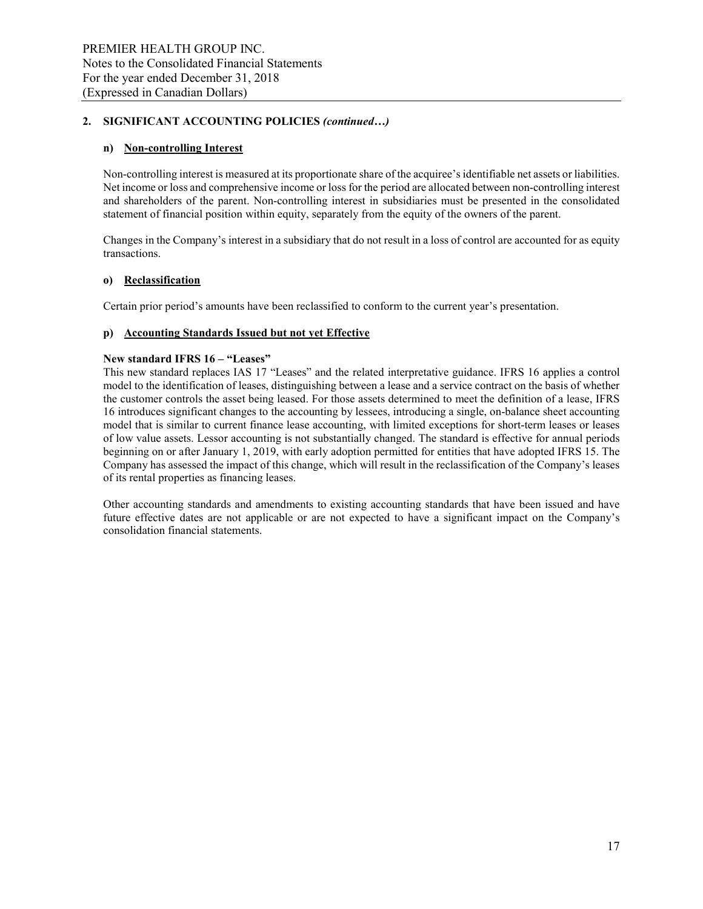### **n) Non-controlling Interest**

Non-controlling interest is measured at its proportionate share of the acquiree's identifiable net assets or liabilities. Net income or loss and comprehensive income or loss for the period are allocated between non-controlling interest and shareholders of the parent. Non-controlling interest in subsidiaries must be presented in the consolidated statement of financial position within equity, separately from the equity of the owners of the parent.

Changes in the Company's interest in a subsidiary that do not result in a loss of control are accounted for as equity transactions.

### **o) Reclassification**

Certain prior period's amounts have been reclassified to conform to the current year's presentation.

### **p) Accounting Standards Issued but not yet Effective**

### **New standard IFRS 16 – "Leases"**

This new standard replaces IAS 17 "Leases" and the related interpretative guidance. IFRS 16 applies a control model to the identification of leases, distinguishing between a lease and a service contract on the basis of whether the customer controls the asset being leased. For those assets determined to meet the definition of a lease, IFRS 16 introduces significant changes to the accounting by lessees, introducing a single, on-balance sheet accounting model that is similar to current finance lease accounting, with limited exceptions for short-term leases or leases of low value assets. Lessor accounting is not substantially changed. The standard is effective for annual periods beginning on or after January 1, 2019, with early adoption permitted for entities that have adopted IFRS 15. The Company has assessed the impact of this change, which will result in the reclassification of the Company's leases of its rental properties as financing leases.

Other accounting standards and amendments to existing accounting standards that have been issued and have future effective dates are not applicable or are not expected to have a significant impact on the Company's consolidation financial statements.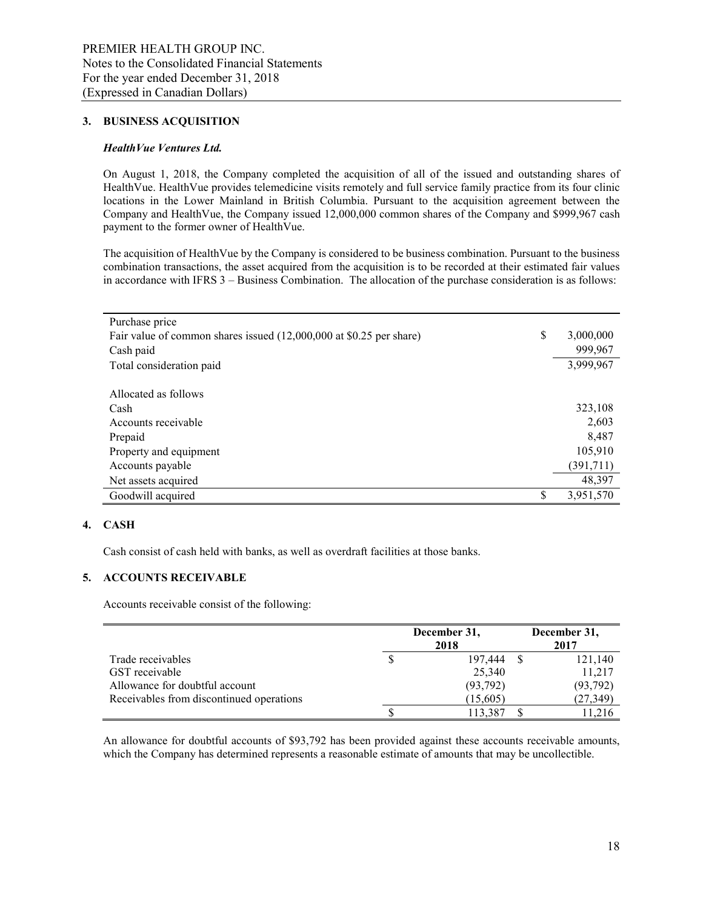#### **3. BUSINESS ACQUISITION**

#### *HealthVue Ventures Ltd.*

On August 1, 2018, the Company completed the acquisition of all of the issued and outstanding shares of HealthVue. HealthVue provides telemedicine visits remotely and full service family practice from its four clinic locations in the Lower Mainland in British Columbia. Pursuant to the acquisition agreement between the Company and HealthVue, the Company issued 12,000,000 common shares of the Company and \$999,967 cash payment to the former owner of HealthVue.

The acquisition of HealthVue by the Company is considered to be business combination. Pursuant to the business combination transactions, the asset acquired from the acquisition is to be recorded at their estimated fair values in accordance with IFRS 3 – Business Combination. The allocation of the purchase consideration is as follows:

| Purchase price                                                      |                 |
|---------------------------------------------------------------------|-----------------|
| Fair value of common shares issued (12,000,000 at \$0.25 per share) | \$<br>3,000,000 |
| Cash paid                                                           | 999,967         |
| Total consideration paid                                            | 3,999,967       |
|                                                                     |                 |
| Allocated as follows                                                |                 |
| Cash                                                                | 323,108         |
| Accounts receivable                                                 | 2,603           |
| Prepaid                                                             | 8,487           |
| Property and equipment                                              | 105,910         |
| Accounts payable                                                    | (391,711)       |
| Net assets acquired                                                 | 48,397          |
| Goodwill acquired                                                   | 3,951,570       |

### **4. CASH**

Cash consist of cash held with banks, as well as overdraft facilities at those banks.

### **5. ACCOUNTS RECEIVABLE**

Accounts receivable consist of the following:

|                                          | December 31,<br>2018 | December 31,<br>2017 |
|------------------------------------------|----------------------|----------------------|
| Trade receivables                        | 197,444              | 121,140              |
| GST receivable                           | 25,340               | 11,217               |
| Allowance for doubtful account           | (93, 792)            | (93, 792)            |
| Receivables from discontinued operations | (15,605)             | (27, 349)            |
|                                          | 113.387              | 11.216               |

An allowance for doubtful accounts of \$93,792 has been provided against these accounts receivable amounts, which the Company has determined represents a reasonable estimate of amounts that may be uncollectible.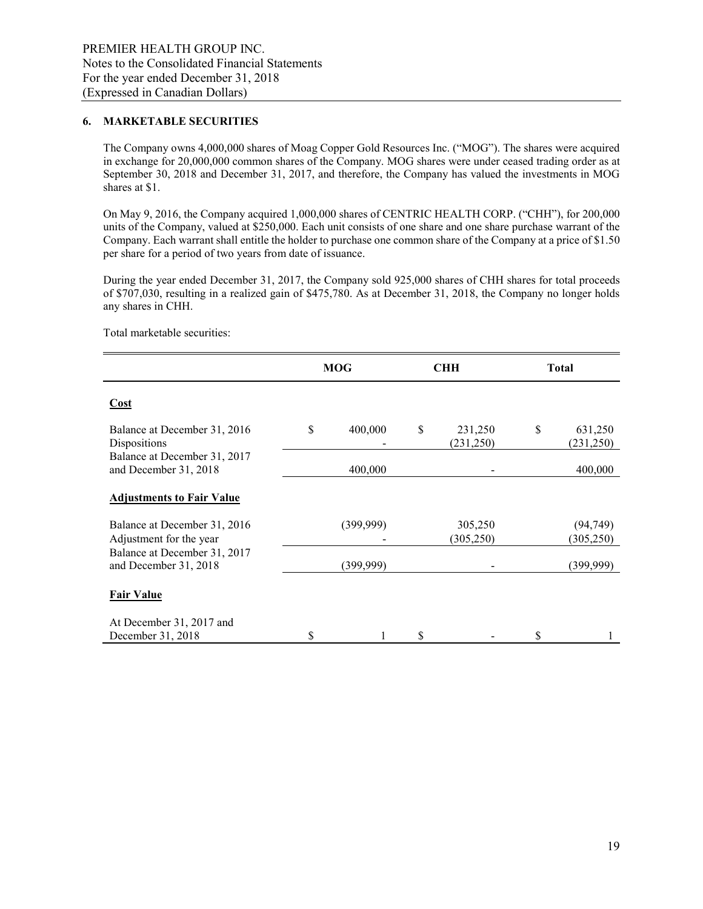#### **6. MARKETABLE SECURITIES**

The Company owns 4,000,000 shares of Moag Copper Gold Resources Inc. ("MOG"). The shares were acquired in exchange for 20,000,000 common shares of the Company. MOG shares were under ceased trading order as at September 30, 2018 and December 31, 2017, and therefore, the Company has valued the investments in MOG shares at \$1.

On May 9, 2016, the Company acquired 1,000,000 shares of CENTRIC HEALTH CORP. ("CHH"), for 200,000 units of the Company, valued at \$250,000. Each unit consists of one share and one share purchase warrant of the Company. Each warrant shall entitle the holder to purchase one common share of the Company at a price of \$1.50 per share for a period of two years from date of issuance.

During the year ended December 31, 2017, the Company sold 925,000 shares of CHH shares for total proceeds of \$707,030, resulting in a realized gain of \$475,780. As at December 31, 2018, the Company no longer holds any shares in CHH.

Total marketable securities:

|                                                         | <b>MOG</b>    | <b>CHH</b>                  | <b>Total</b> |                         |  |
|---------------------------------------------------------|---------------|-----------------------------|--------------|-------------------------|--|
| <b>Cost</b>                                             |               |                             |              |                         |  |
| Balance at December 31, 2016<br>Dispositions            | \$<br>400,000 | \$<br>231,250<br>(231, 250) | \$           | 631,250<br>(231, 250)   |  |
| Balance at December 31, 2017<br>and December 31, 2018   | 400,000       |                             |              | 400,000                 |  |
| <b>Adjustments to Fair Value</b>                        |               |                             |              |                         |  |
| Balance at December 31, 2016<br>Adjustment for the year | (399, 999)    | 305,250<br>(305, 250)       |              | (94, 749)<br>(305, 250) |  |
| Balance at December 31, 2017<br>and December 31, 2018   | (399,999)     |                             |              | (399,999)               |  |
| <b>Fair Value</b>                                       |               |                             |              |                         |  |
| At December 31, 2017 and<br>December 31, 2018           |               |                             |              |                         |  |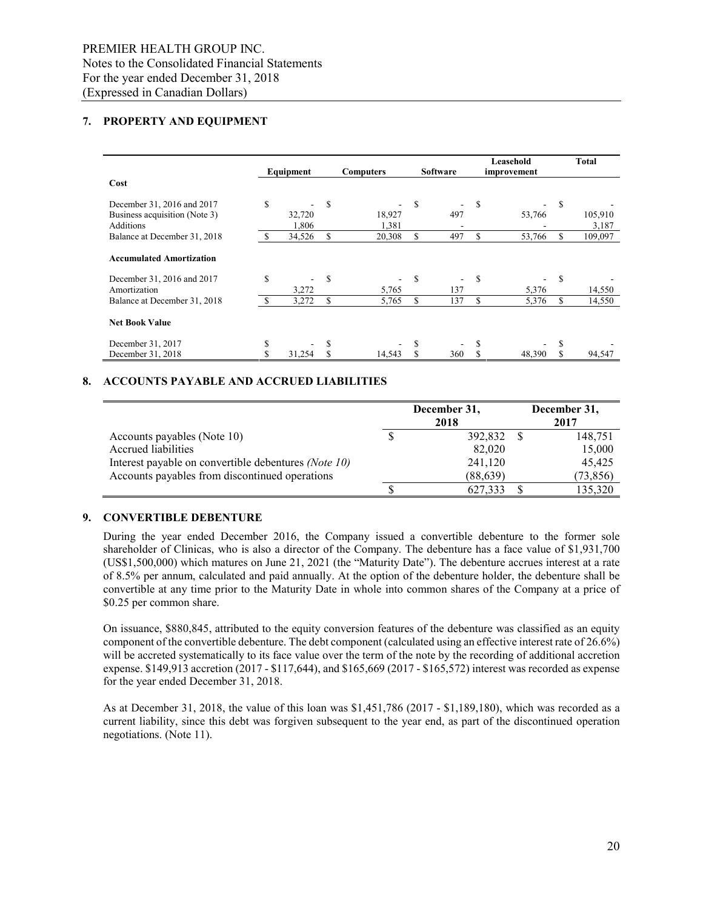### **7. PROPERTY AND EQUIPMENT**

|                                 |    | Equipment |    | <b>Computers</b> | Software |     | Leasehold<br>improvement |        |    | Total   |
|---------------------------------|----|-----------|----|------------------|----------|-----|--------------------------|--------|----|---------|
| Cost                            |    |           |    |                  |          |     |                          |        |    |         |
| December 31, 2016 and 2017      | S  |           | \$ |                  | \$       |     | S                        |        | S  |         |
| Business acquisition (Note 3)   |    | 32,720    |    | 18,927           |          | 497 |                          | 53,766 |    | 105,910 |
| <b>Additions</b>                |    | 1,806     |    | 1,381            |          |     |                          |        |    | 3,187   |
| Balance at December 31, 2018    |    | 34,526    |    | 20,308           | \$       | 497 | \$                       | 53,766 | \$ | 109,097 |
| <b>Accumulated Amortization</b> |    |           |    |                  |          |     |                          |        |    |         |
| December 31, 2016 and 2017      | \$ |           | S  |                  | S        | Ξ.  | S                        |        | S  |         |
| Amortization                    |    | 3,272     |    | 5,765            |          | 137 |                          | 5,376  |    | 14,550  |
| Balance at December 31, 2018    |    | 3,272     | S  | 5,765            | S        | 137 | S                        | 5,376  | S  | 14,550  |
| <b>Net Book Value</b>           |    |           |    |                  |          |     |                          |        |    |         |
| December 31, 2017               |    |           |    |                  | S        |     | S                        |        |    |         |
| December 31, 2018               |    | 31,254    |    | 14.543           |          | 360 | S                        | 48,390 |    | 94,547  |

### **8. ACCOUNTS PAYABLE AND ACCRUED LIABILITIES**

|                                                      | December 31,<br>2018 | December 31,<br>2017 |
|------------------------------------------------------|----------------------|----------------------|
| Accounts payables (Note 10)                          | 392,832              | 148,751              |
| Accrued liabilities                                  | 82,020               | 15,000               |
| Interest payable on convertible debentures (Note 10) | 241,120              | 45.425               |
| Accounts payables from discontinued operations       | (88, 639)            | (73, 856)            |
|                                                      | 627.333              | 135,320              |

### **9. CONVERTIBLE DEBENTURE**

During the year ended December 2016, the Company issued a convertible debenture to the former sole shareholder of Clinicas, who is also a director of the Company. The debenture has a face value of \$1,931,700 (US\$1,500,000) which matures on June 21, 2021 (the "Maturity Date"). The debenture accrues interest at a rate of 8.5% per annum, calculated and paid annually. At the option of the debenture holder, the debenture shall be convertible at any time prior to the Maturity Date in whole into common shares of the Company at a price of \$0.25 per common share.

On issuance, \$880,845, attributed to the equity conversion features of the debenture was classified as an equity component of the convertible debenture. The debt component (calculated using an effective interest rate of 26.6%) will be accreted systematically to its face value over the term of the note by the recording of additional accretion expense. \$149,913 accretion (2017 - \$117,644), and \$165,669 (2017 - \$165,572) interest was recorded as expense for the year ended December 31, 2018.

As at December 31, 2018, the value of this loan was \$1,451,786 (2017 - \$1,189,180), which was recorded as a current liability, since this debt was forgiven subsequent to the year end, as part of the discontinued operation negotiations. (Note 11).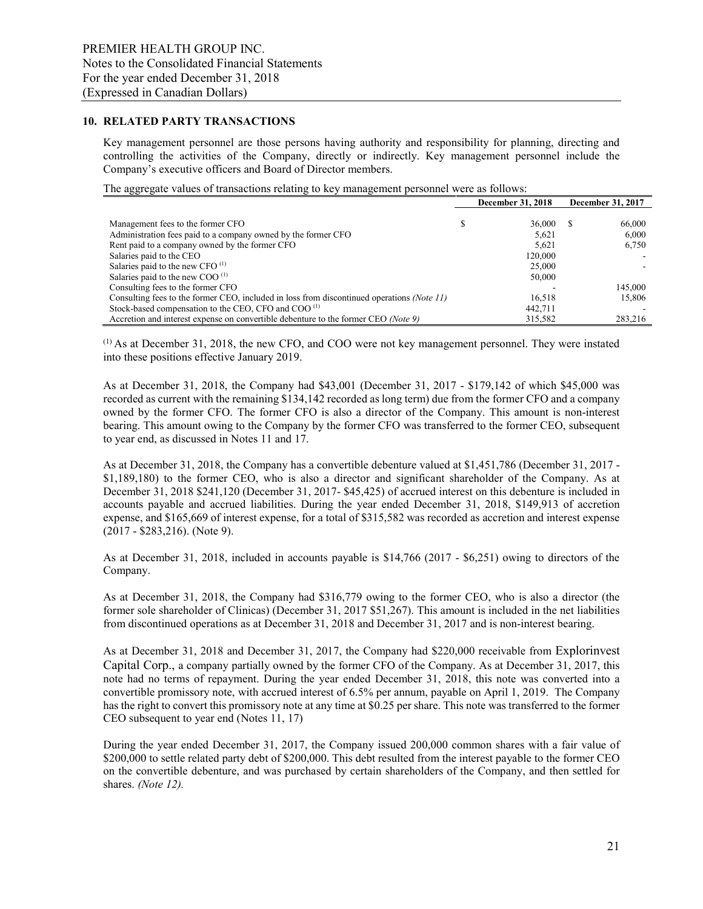#### **10. RELATED PARTY TRANSACTIONS**

Key management personnel are those persons having authority and responsibility for planning, directing and controlling the activities of the Company, directly or indirectly. Key management personnel include the Company's executive officers and Board of Director members.

The aggregate values of transactions relating to key management personnel were as follows:

|                                                                                            | <b>December 31, 2018</b> | December 31, 2017 |
|--------------------------------------------------------------------------------------------|--------------------------|-------------------|
|                                                                                            |                          |                   |
| Management fees to the former CFO                                                          | 36,000                   | 66,000            |
| Administration fees paid to a company owned by the former CFO                              | 5,621                    | 6.000             |
| Rent paid to a company owned by the former CFO                                             | 5.621                    | 6.750             |
| Salaries paid to the CEO                                                                   | 120,000                  |                   |
| Salaries paid to the new CFO <sup>(1)</sup>                                                | 25,000                   |                   |
| Salaries paid to the new COO $^{(1)}$                                                      | 50,000                   |                   |
| Consulting fees to the former CFO                                                          |                          | 145,000           |
| Consulting fees to the former CEO, included in loss from discontinued operations (Note 11) | 16.518                   | 15,806            |
| Stock-based compensation to the CEO, CFO and COO <sup>(1)</sup>                            | 442,711                  |                   |
| Accretion and interest expense on convertible debenture to the former CEO (Note 9)         | 315.582                  | 283,216           |

 $<sup>(1)</sup>$  As at December 31, 2018, the new CFO, and COO were not key management personnel. They were instated</sup> into these positions effective January 2019.

As at December 31, 2018, the Company had \$43,001 (December 31, 2017 - \$179,142 of which \$45,000 was recorded as current with the remaining \$134,142 recorded as long term) due from the former CFO and a company owned by the former CFO. The former CFO is also a director of the Company. This amount is non-interest bearing. This amount owing to the Company by the former CFO was transferred to the former CEO, subsequent to year end, as discussed in Notes 11 and 17.

As at December 31, 2018, the Company has a convertible debenture valued at \$1,451,786 (December 31, 2017 - \$1,189,180) to the former CEO, who is also a director and significant shareholder of the Company. As at December 31, 2018 \$241,120 (December 31, 2017- \$45,425) of accrued interest on this debenture is included in accounts payable and accrued liabilities. During the year ended December 31, 2018, \$149,913 of accretion expense, and \$165,669 of interest expense, for a total of \$315,582 was recorded as accretion and interest expense (2017 - \$283,216). (Note 9).

As at December 31, 2018, included in accounts payable is \$14,766 (2017 - \$6,251) owing to directors of the Company.

As at December 31, 2018, the Company had \$316,779 owing to the former CEO, who is also a director (the former sole shareholder of Clinicas) (December 31, 2017 \$51,267). This amount is included in the net liabilities from discontinued operations as at December 31, 2018 and December 31, 2017 and is non-interest bearing.

As at December 31, 2018 and December 31, 2017, the Company had \$220,000 receivable from Explorinvest Capital Corp., a company partially owned by the former CFO of the Company. As at December 31, 2017, this note had no terms of repayment. During the year ended December 31, 2018, this note was converted into a convertible promissory note, with accrued interest of 6.5% per annum, payable on April 1, 2019. The Company has the right to convert this promissory note at any time at \$0.25 per share. This note was transferred to the former CEO subsequent to year end (Notes 11, 17)

During the year ended December 31, 2017, the Company issued 200,000 common shares with a fair value of \$200,000 to settle related party debt of \$200,000. This debt resulted from the interest payable to the former CEO on the convertible debenture, and was purchased by certain shareholders of the Company, and then settled for shares. *(Note 12).*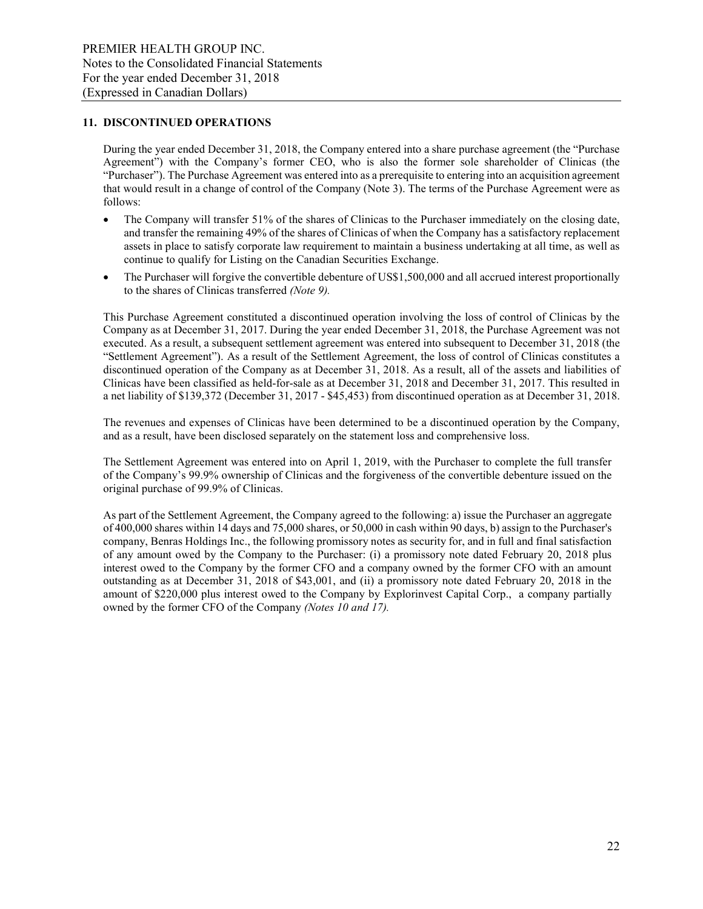#### **11. DISCONTINUED OPERATIONS**

During the year ended December 31, 2018, the Company entered into a share purchase agreement (the "Purchase Agreement") with the Company's former CEO, who is also the former sole shareholder of Clinicas (the "Purchaser"). The Purchase Agreement was entered into as a prerequisite to entering into an acquisition agreement that would result in a change of control of the Company (Note 3). The terms of the Purchase Agreement were as follows:

- The Company will transfer 51% of the shares of Clinicas to the Purchaser immediately on the closing date, and transfer the remaining 49% of the shares of Clinicas of when the Company has a satisfactory replacement assets in place to satisfy corporate law requirement to maintain a business undertaking at all time, as well as continue to qualify for Listing on the Canadian Securities Exchange.
- The Purchaser will forgive the convertible debenture of US\$1,500,000 and all accrued interest proportionally to the shares of Clinicas transferred *(Note 9).*

This Purchase Agreement constituted a discontinued operation involving the loss of control of Clinicas by the Company as at December 31, 2017. During the year ended December 31, 2018, the Purchase Agreement was not executed. As a result, a subsequent settlement agreement was entered into subsequent to December 31, 2018 (the "Settlement Agreement"). As a result of the Settlement Agreement, the loss of control of Clinicas constitutes a discontinued operation of the Company as at December 31, 2018. As a result, all of the assets and liabilities of Clinicas have been classified as held-for-sale as at December 31, 2018 and December 31, 2017. This resulted in a net liability of \$139,372 (December 31, 2017 - \$45,453) from discontinued operation as at December 31, 2018.

The revenues and expenses of Clinicas have been determined to be a discontinued operation by the Company, and as a result, have been disclosed separately on the statement loss and comprehensive loss.

The Settlement Agreement was entered into on April 1, 2019, with the Purchaser to complete the full transfer of the Company's 99.9% ownership of Clinicas and the forgiveness of the convertible debenture issued on the original purchase of 99.9% of Clinicas.

As part of the Settlement Agreement, the Company agreed to the following: a) issue the Purchaser an aggregate of 400,000 shares within 14 days and 75,000 shares, or 50,000 in cash within 90 days, b) assign to the Purchaser's company, Benras Holdings Inc., the following promissory notes as security for, and in full and final satisfaction of any amount owed by the Company to the Purchaser: (i) a promissory note dated February 20, 2018 plus interest owed to the Company by the former CFO and a company owned by the former CFO with an amount outstanding as at December 31, 2018 of \$43,001, and (ii) a promissory note dated February 20, 2018 in the amount of \$220,000 plus interest owed to the Company by Explorinvest Capital Corp., a company partially owned by the former CFO of the Company *(Notes 10 and 17).*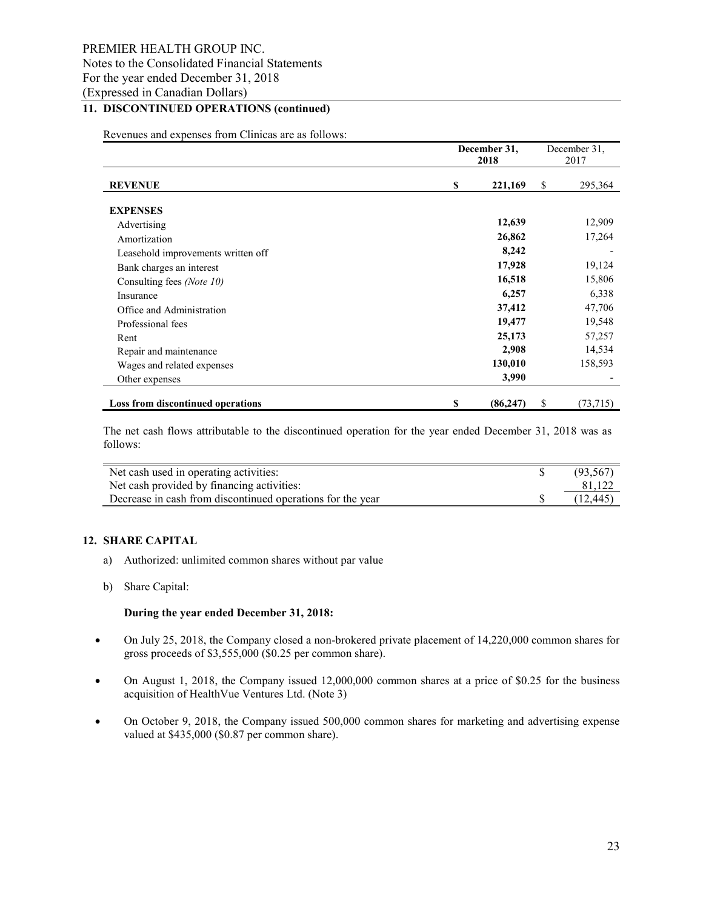### PREMIER HEALTH GROUP INC. Notes to the Consolidated Financial Statements For the year ended December 31, 2018 (Expressed in Canadian Dollars)

## **11. DISCONTINUED OPERATIONS (continued)**

Revenues and expenses from Clinicas are as follows:

|                                          | December 31,<br>2018 |    | December 31,<br>2017 |
|------------------------------------------|----------------------|----|----------------------|
| <b>REVENUE</b>                           | \$<br>221,169        |    | 295,364              |
| <b>EXPENSES</b>                          |                      |    |                      |
| Advertising                              | 12,639               |    | 12,909               |
| Amortization                             | 26,862               |    | 17,264               |
| Leasehold improvements written off       | 8,242                |    |                      |
| Bank charges an interest                 | 17,928               |    | 19,124               |
| Consulting fees (Note 10)                | 16,518               |    | 15,806               |
| Insurance                                | 6,257                |    | 6,338                |
| Office and Administration                | 37,412               |    | 47,706               |
| Professional fees                        | 19,477               |    | 19,548               |
| Rent                                     | 25,173               |    | 57,257               |
| Repair and maintenance                   | 2,908                |    | 14,534               |
| Wages and related expenses               | 130,010              |    | 158,593              |
| Other expenses                           | 3,990                |    |                      |
| <b>Loss from discontinued operations</b> | \$<br>(86, 247)      | \$ | (73,715)             |

The net cash flows attributable to the discontinued operation for the year ended December 31, 2018 was as follows:

| Net cash used in operating activities:                     | (93, 567) |
|------------------------------------------------------------|-----------|
| Net cash provided by financing activities:                 |           |
| Decrease in cash from discontinued operations for the year | (12, 445) |

### **12. SHARE CAPITAL**

- a) Authorized: unlimited common shares without par value
- b) Share Capital:

#### **During the year ended December 31, 2018:**

- On July 25, 2018, the Company closed a non-brokered private placement of 14,220,000 common shares for gross proceeds of \$3,555,000 (\$0.25 per common share).
- On August 1, 2018, the Company issued 12,000,000 common shares at a price of \$0.25 for the business acquisition of HealthVue Ventures Ltd. (Note 3)
- On October 9, 2018, the Company issued 500,000 common shares for marketing and advertising expense valued at \$435,000 (\$0.87 per common share).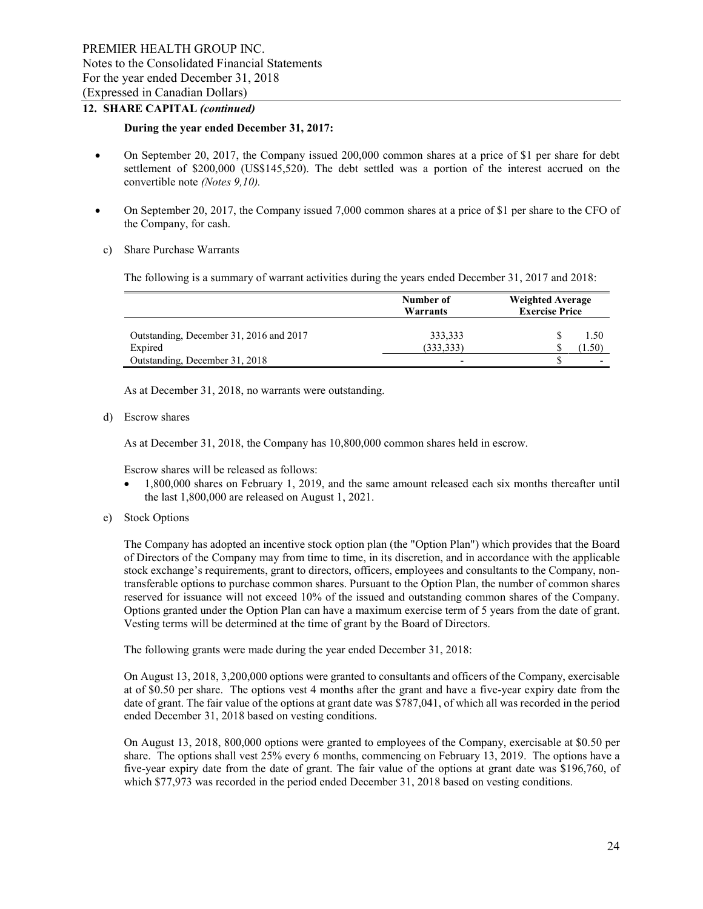## **12. SHARE CAPITAL** *(continued)*

#### **During the year ended December 31, 2017:**

- On September 20, 2017, the Company issued 200,000 common shares at a price of \$1 per share for debt settlement of \$200,000 (US\$145,520). The debt settled was a portion of the interest accrued on the convertible note *(Notes 9,10).*
- On September 20, 2017, the Company issued 7,000 common shares at a price of \$1 per share to the CFO of the Company, for cash.
	- c) Share Purchase Warrants

The following is a summary of warrant activities during the years ended December 31, 2017 and 2018:

|                                         | Number of<br>Warrants | <b>Weighted Average</b><br><b>Exercise Price</b> |  |  |  |
|-----------------------------------------|-----------------------|--------------------------------------------------|--|--|--|
| Outstanding, December 31, 2016 and 2017 | 333,333               | 1.50                                             |  |  |  |
| Expired                                 | (333, 333)            | $4.50^{\circ}$                                   |  |  |  |
| Outstanding, December 31, 2018          |                       | $\overline{\phantom{0}}$                         |  |  |  |

As at December 31, 2018, no warrants were outstanding.

d) Escrow shares

As at December 31, 2018, the Company has 10,800,000 common shares held in escrow.

Escrow shares will be released as follows:

- 1,800,000 shares on February 1, 2019, and the same amount released each six months thereafter until the last 1,800,000 are released on August 1, 2021.
- e) Stock Options

The Company has adopted an incentive stock option plan (the "Option Plan") which provides that the Board of Directors of the Company may from time to time, in its discretion, and in accordance with the applicable stock exchange's requirements, grant to directors, officers, employees and consultants to the Company, nontransferable options to purchase common shares. Pursuant to the Option Plan, the number of common shares reserved for issuance will not exceed 10% of the issued and outstanding common shares of the Company. Options granted under the Option Plan can have a maximum exercise term of 5 years from the date of grant. Vesting terms will be determined at the time of grant by the Board of Directors.

The following grants were made during the year ended December 31, 2018:

On August 13, 2018, 3,200,000 options were granted to consultants and officers of the Company, exercisable at of \$0.50 per share. The options vest 4 months after the grant and have a five-year expiry date from the date of grant. The fair value of the options at grant date was \$787,041, of which all was recorded in the period ended December 31, 2018 based on vesting conditions.

On August 13, 2018, 800,000 options were granted to employees of the Company, exercisable at \$0.50 per share. The options shall vest 25% every 6 months, commencing on February 13, 2019. The options have a five-year expiry date from the date of grant. The fair value of the options at grant date was \$196,760, of which \$77,973 was recorded in the period ended December 31, 2018 based on vesting conditions.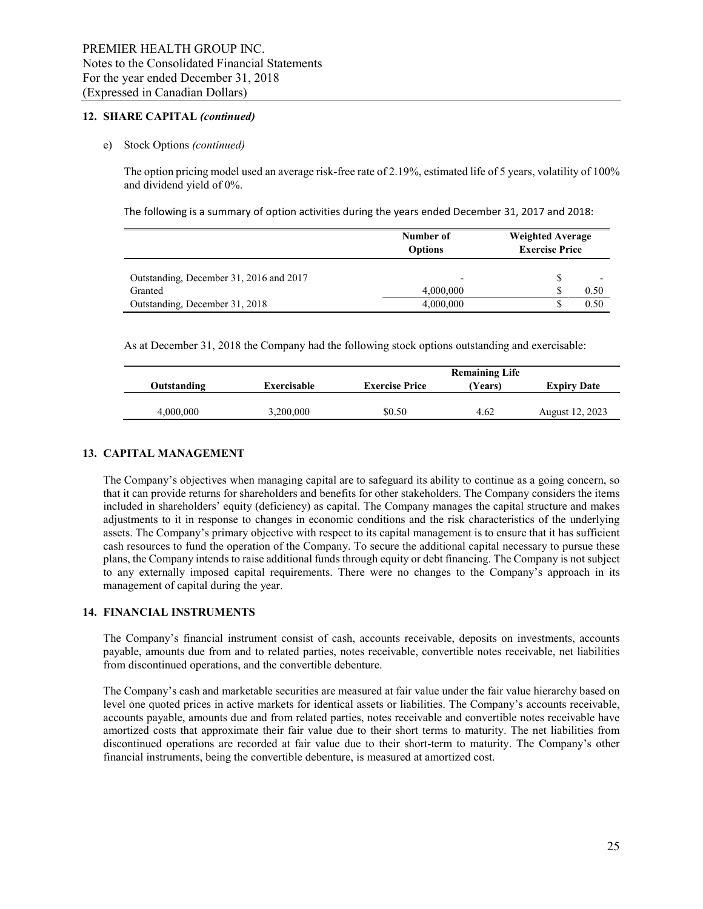### **12. SHARE CAPITAL** *(continued)*

#### e) Stock Options *(continued)*

The option pricing model used an average risk-free rate of 2.19%, estimated life of 5 years, volatility of 100% and dividend yield of 0%.

The following is a summary of option activities during the years ended December 31, 2017 and 2018:

|                                         | Number of<br><b>Options</b> | <b>Weighted Average</b><br><b>Exercise Price</b> |
|-----------------------------------------|-----------------------------|--------------------------------------------------|
| Outstanding, December 31, 2016 and 2017 |                             |                                                  |
| Granted                                 | 4,000,000                   | 0.50                                             |
| Outstanding, December 31, 2018          | 4,000,000                   | 0.50                                             |

As at December 31, 2018 the Company had the following stock options outstanding and exercisable:

|             |             |                       | <b>Remaining Life</b> |                    |
|-------------|-------------|-----------------------|-----------------------|--------------------|
| Outstanding | Exercisable | <b>Exercise Price</b> | Years)                | <b>Expiry Date</b> |
|             |             |                       |                       |                    |
| 4,000,000   | 3,200,000   | \$0.50                | 4.62                  | August 12, 2023    |

#### **13. CAPITAL MANAGEMENT**

The Company's objectives when managing capital are to safeguard its ability to continue as a going concern, so that it can provide returns for shareholders and benefits for other stakeholders. The Company considers the items included in shareholders' equity (deficiency) as capital. The Company manages the capital structure and makes adjustments to it in response to changes in economic conditions and the risk characteristics of the underlying assets. The Company's primary objective with respect to its capital management is to ensure that it has sufficient cash resources to fund the operation of the Company. To secure the additional capital necessary to pursue these plans, the Company intends to raise additional funds through equity or debt financing. The Company is not subject to any externally imposed capital requirements. There were no changes to the Company's approach in its management of capital during the year.

#### **14. FINANCIAL INSTRUMENTS**

The Company's financial instrument consist of cash, accounts receivable, deposits on investments, accounts payable, amounts due from and to related parties, notes receivable, convertible notes receivable, net liabilities from discontinued operations, and the convertible debenture.

The Company's cash and marketable securities are measured at fair value under the fair value hierarchy based on level one quoted prices in active markets for identical assets or liabilities. The Company's accounts receivable, accounts payable, amounts due and from related parties, notes receivable and convertible notes receivable have amortized costs that approximate their fair value due to their short terms to maturity. The net liabilities from discontinued operations are recorded at fair value due to their short-term to maturity. The Company's other financial instruments, being the convertible debenture, is measured at amortized cost.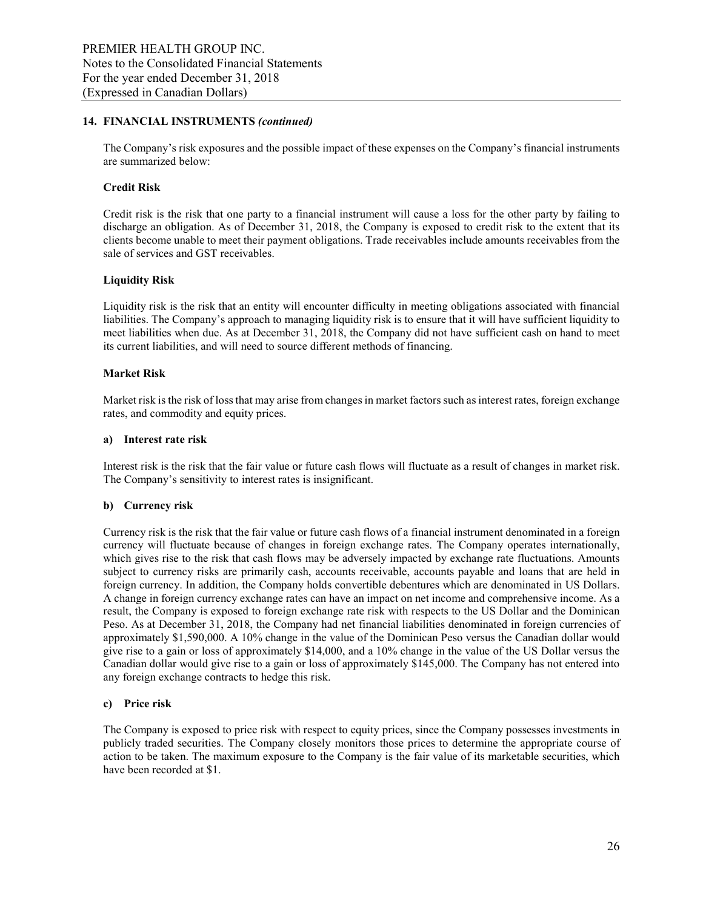#### **14. FINANCIAL INSTRUMENTS** *(continued)*

The Company's risk exposures and the possible impact of these expenses on the Company's financial instruments are summarized below:

#### **Credit Risk**

Credit risk is the risk that one party to a financial instrument will cause a loss for the other party by failing to discharge an obligation. As of December 31, 2018, the Company is exposed to credit risk to the extent that its clients become unable to meet their payment obligations. Trade receivables include amounts receivables from the sale of services and GST receivables.

#### **Liquidity Risk**

Liquidity risk is the risk that an entity will encounter difficulty in meeting obligations associated with financial liabilities. The Company's approach to managing liquidity risk is to ensure that it will have sufficient liquidity to meet liabilities when due. As at December 31, 2018, the Company did not have sufficient cash on hand to meet its current liabilities, and will need to source different methods of financing.

#### **Market Risk**

Market risk is the risk of loss that may arise from changes in market factors such as interest rates, foreign exchange rates, and commodity and equity prices.

#### **a) Interest rate risk**

Interest risk is the risk that the fair value or future cash flows will fluctuate as a result of changes in market risk. The Company's sensitivity to interest rates is insignificant.

#### **b) Currency risk**

Currency risk is the risk that the fair value or future cash flows of a financial instrument denominated in a foreign currency will fluctuate because of changes in foreign exchange rates. The Company operates internationally, which gives rise to the risk that cash flows may be adversely impacted by exchange rate fluctuations. Amounts subject to currency risks are primarily cash, accounts receivable, accounts payable and loans that are held in foreign currency. In addition, the Company holds convertible debentures which are denominated in US Dollars. A change in foreign currency exchange rates can have an impact on net income and comprehensive income. As a result, the Company is exposed to foreign exchange rate risk with respects to the US Dollar and the Dominican Peso. As at December 31, 2018, the Company had net financial liabilities denominated in foreign currencies of approximately \$1,590,000. A 10% change in the value of the Dominican Peso versus the Canadian dollar would give rise to a gain or loss of approximately \$14,000, and a 10% change in the value of the US Dollar versus the Canadian dollar would give rise to a gain or loss of approximately \$145,000. The Company has not entered into any foreign exchange contracts to hedge this risk.

### **c) Price risk**

The Company is exposed to price risk with respect to equity prices, since the Company possesses investments in publicly traded securities. The Company closely monitors those prices to determine the appropriate course of action to be taken. The maximum exposure to the Company is the fair value of its marketable securities, which have been recorded at \$1.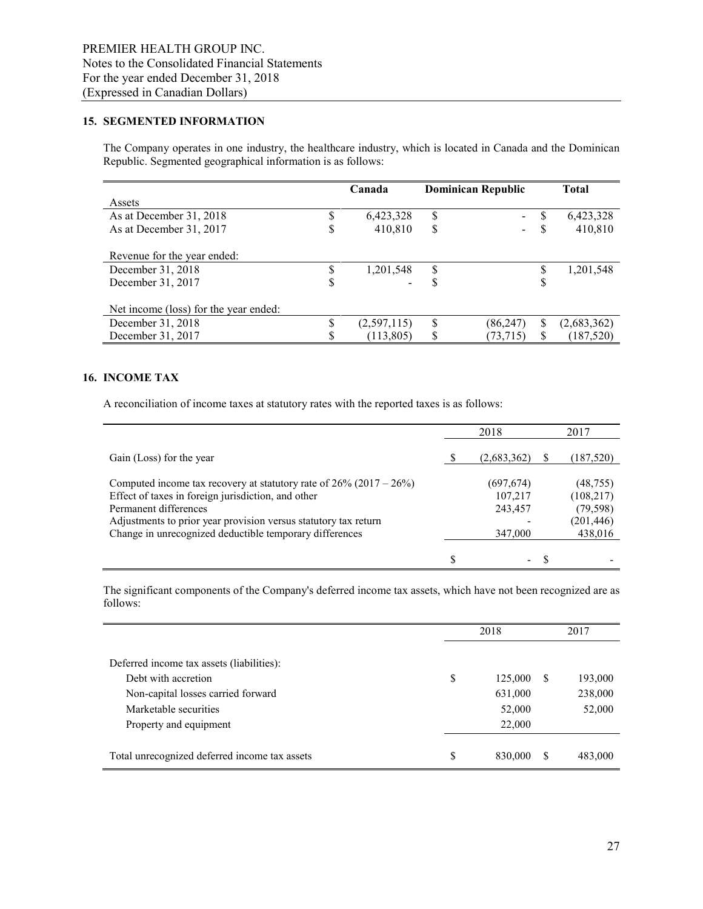### **15. SEGMENTED INFORMATION**

The Company operates in one industry, the healthcare industry, which is located in Canada and the Dominican Republic. Segmented geographical information is as follows:

|                                       | <b>Dominican Republic</b><br>Canada |                 | <b>Total</b>      |
|---------------------------------------|-------------------------------------|-----------------|-------------------|
| Assets                                |                                     |                 |                   |
| As at December 31, 2018               | 6,423,328                           | \$<br>$\sim$    | 6,423,328<br>S    |
| As at December 31, 2017<br>J          | 410,810                             | \$              | 410,810<br>S      |
| Revenue for the year ended:           |                                     |                 |                   |
| December 31, 2018                     | 1,201,548                           | \$              | 1,201,548         |
| December 31, 2017<br>D                |                                     | S               | \$                |
| Net income (loss) for the year ended: |                                     |                 |                   |
| December 31, 2018                     | (2,597,115)                         | \$<br>(86, 247) | \$<br>(2,683,362) |
| December 31, 2017                     | (113, 805)                          | \$<br>(73, 715) | \$<br>(187, 520)  |

### **16. INCOME TAX**

A reconciliation of income taxes at statutory rates with the reported taxes is as follows:

|                                                                                                                                                                                                                                                                                        |   | 2018                                        | 2017                                                          |  |
|----------------------------------------------------------------------------------------------------------------------------------------------------------------------------------------------------------------------------------------------------------------------------------------|---|---------------------------------------------|---------------------------------------------------------------|--|
| Gain (Loss) for the year                                                                                                                                                                                                                                                               |   | (2,683,362)                                 | (187, 520)                                                    |  |
| Computed income tax recovery at statutory rate of $26\%$ (2017 – $26\%$ )<br>Effect of taxes in foreign jurisdiction, and other<br>Permanent differences<br>Adjustments to prior year provision versus statutory tax return<br>Change in unrecognized deductible temporary differences |   | (697, 674)<br>107,217<br>243,457<br>347,000 | (48, 755)<br>(108, 217)<br>(79, 598)<br>(201, 446)<br>438,016 |  |
|                                                                                                                                                                                                                                                                                        | S | -                                           |                                                               |  |

The significant components of the Company's deferred income tax assets, which have not been recognized are as follows:

|                                               | 2018 |         |              | 2017    |  |
|-----------------------------------------------|------|---------|--------------|---------|--|
| Deferred income tax assets (liabilities):     |      |         |              |         |  |
| Debt with accretion                           | \$   | 125,000 | <sup>S</sup> | 193,000 |  |
| Non-capital losses carried forward            |      | 631,000 |              | 238,000 |  |
| Marketable securities                         |      | 52,000  |              | 52,000  |  |
| Property and equipment                        |      | 22,000  |              |         |  |
|                                               |      |         |              |         |  |
| Total unrecognized deferred income tax assets | S    | 830,000 | S            | 483,000 |  |